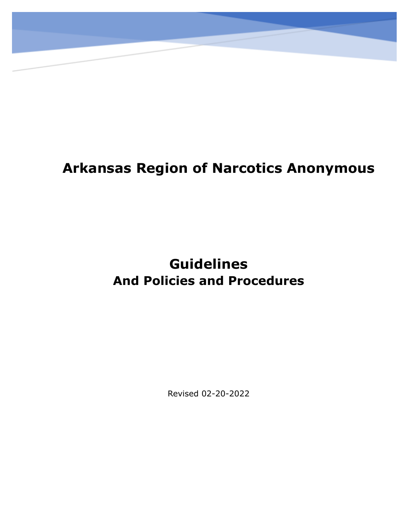# **Arkansas Region of Narcotics Anonymous**

# **Guidelines And Policies and Procedures**

Revised 02-20-2022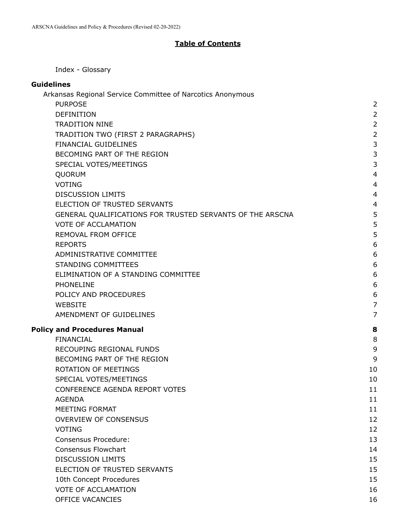#### **Table of Contents**

<span id="page-1-0"></span>Index - [Glossary](#page-3-0)

#### **[Guidelines](#page-5-0)**

| Arkansas Regional Service Committee of Narcotics Anonymous |                |
|------------------------------------------------------------|----------------|
| <b>PURPOSE</b>                                             | $\overline{2}$ |
| <b>DEFINITION</b>                                          | $\overline{2}$ |
| <b>TRADITION NINE</b>                                      | $\overline{2}$ |
| TRADITION TWO (FIRST 2 PARAGRAPHS)                         | $\overline{2}$ |
| FINANCIAL GUIDELINES                                       | 3              |
| BECOMING PART OF THE REGION                                | 3              |
| SPECIAL VOTES/MEETINGS                                     | 3              |
| QUORUM                                                     | $\overline{4}$ |
| <b>VOTING</b>                                              | $\overline{4}$ |
| <b>DISCUSSION LIMITS</b>                                   | $\overline{4}$ |
| ELECTION OF TRUSTED SERVANTS                               | 4              |
| GENERAL QUALIFICATIONS FOR TRUSTED SERVANTS OF THE ARSCNA  | 5              |
| <b>VOTE OF ACCLAMATION</b>                                 | 5              |
| REMOVAL FROM OFFICE                                        | 5              |
| <b>REPORTS</b>                                             | 6              |
| ADMINISTRATIVE COMMITTEE                                   | 6              |
| <b>STANDING COMMITTEES</b>                                 | 6              |
| ELIMINATION OF A STANDING COMMITTEE                        | 6              |
| <b>PHONELINE</b>                                           | 6              |
| POLICY AND PROCEDURES                                      | 6              |
| <b>WEBSITE</b>                                             | $\overline{7}$ |
| AMENDMENT OF GUIDELINES                                    | 7              |
| <b>Policy and Procedures Manual</b>                        | 8              |
| <b>FINANCIAL</b>                                           | 8              |
| RECOUPING REGIONAL FUNDS                                   | 9              |
| BECOMING PART OF THE REGION                                | 9              |
| <b>ROTATION OF MEETINGS</b>                                | 10             |
| SPECIAL VOTES/MEETINGS                                     | 10             |
| CONFERENCE AGENDA REPORT VOTES                             | 11             |
| <b>AGENDA</b>                                              | 11             |
| MEETING FORMAT                                             | 11             |
| <b>OVERVIEW OF CONSENSUS</b>                               | 12             |
| <b>VOTING</b>                                              | 12             |
| Consensus Procedure:                                       | 13             |
| <b>Consensus Flowchart</b>                                 | 14             |
| <b>DISCUSSION LIMITS</b>                                   | 15             |
| ELECTION OF TRUSTED SERVANTS                               | 15             |
| 10th Concept Procedures                                    | 15             |
| <b>VOTE OF ACCLAMATION</b>                                 | 16             |
| OFFICE VACANCIES                                           | 16             |
|                                                            |                |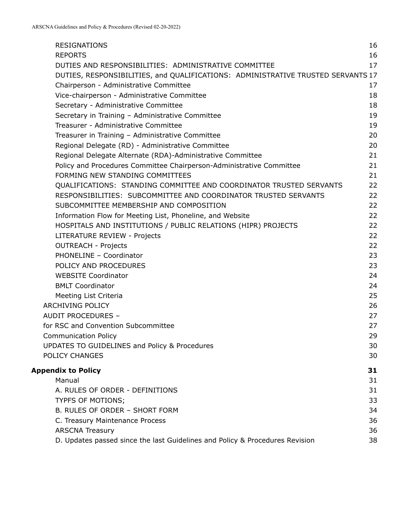| <b>RESIGNATIONS</b>                                                              | 16 |
|----------------------------------------------------------------------------------|----|
| <b>REPORTS</b>                                                                   | 16 |
| DUTIES AND RESPONSIBILITIES: ADMINISTRATIVE COMMITTEE                            | 17 |
| DUTIES, RESPONSIBILITIES, and QUALIFICATIONS: ADMINISTRATIVE TRUSTED SERVANTS 17 |    |
| Chairperson - Administrative Committee                                           | 17 |
| Vice-chairperson - Administrative Committee                                      | 18 |
| Secretary - Administrative Committee                                             | 18 |
| Secretary in Training - Administrative Committee                                 | 19 |
| Treasurer - Administrative Committee                                             | 19 |
| Treasurer in Training - Administrative Committee                                 | 20 |
| Regional Delegate (RD) - Administrative Committee                                | 20 |
| Regional Delegate Alternate (RDA)-Administrative Committee                       | 21 |
| Policy and Procedures Committee Chairperson-Administrative Committee             | 21 |
| FORMING NEW STANDING COMMITTEES                                                  | 21 |
| QUALIFICATIONS: STANDING COMMITTEE AND COORDINATOR TRUSTED SERVANTS              | 22 |
| RESPONSIBILITIES: SUBCOMMITTEE AND COORDINATOR TRUSTED SERVANTS                  | 22 |
| SUBCOMMITTEE MEMBERSHIP AND COMPOSITION                                          | 22 |
| Information Flow for Meeting List, Phoneline, and Website                        | 22 |
| HOSPITALS AND INSTITUTIONS / PUBLIC RELATIONS (HIPR) PROJECTS                    | 22 |
| LITERATURE REVIEW - Projects                                                     | 22 |
| <b>OUTREACH - Projects</b>                                                       | 22 |
| PHONELINE - Coordinator                                                          | 23 |
| POLICY AND PROCEDURES                                                            | 23 |
| <b>WEBSITE Coordinator</b>                                                       | 24 |
| <b>BMLT Coordinator</b>                                                          | 24 |
| Meeting List Criteria                                                            | 25 |
| ARCHIVING POLICY                                                                 | 26 |
| AUDIT PROCEDURES -                                                               | 27 |
| for RSC and Convention Subcommittee                                              | 27 |
| <b>Communication Policy</b>                                                      | 29 |
| UPDATES TO GUIDELINES and Policy & Procedures                                    | 30 |
| POLICY CHANGES                                                                   | 30 |
| <b>Appendix to Policy</b>                                                        | 31 |
| Manual                                                                           | 31 |
| A. RULES OF ORDER - DEFINITIONS                                                  | 31 |
| TYPFS OF MOTIONS;                                                                | 33 |
| B. RULES OF ORDER - SHORT FORM                                                   | 34 |
| C. Treasury Maintenance Process                                                  | 36 |
| <b>ARSCNA Treasury</b>                                                           | 36 |
| D. Updates passed since the last Guidelines and Policy & Procedures Revision     | 38 |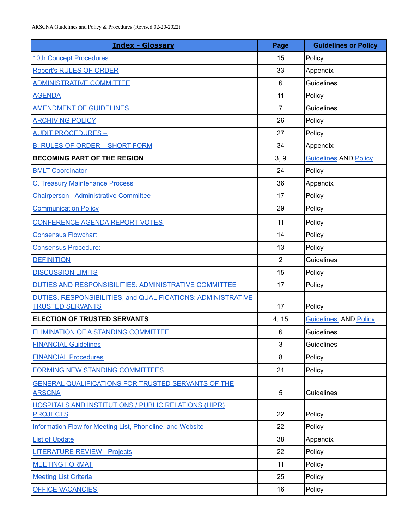<span id="page-3-0"></span>

| <b>Index - Glossary</b>                                                                 | Page           | <b>Guidelines or Policy</b>  |
|-----------------------------------------------------------------------------------------|----------------|------------------------------|
| <b>10th Concept Procedures</b>                                                          | 15             | Policy                       |
| <b>Robert's RULES OF ORDER</b>                                                          | 33             | Appendix                     |
| <b>ADMINISTRATIVE COMMITTEE</b>                                                         | 6              | <b>Guidelines</b>            |
| <b>AGENDA</b>                                                                           | 11             | Policy                       |
| <b>AMENDMENT OF GUIDELINES</b>                                                          | $\overline{7}$ | <b>Guidelines</b>            |
| <b>ARCHIVING POLICY</b>                                                                 | 26             | Policy                       |
| <b>AUDIT PROCEDURES -</b>                                                               | 27             | Policy                       |
| <b>B. RULES OF ORDER - SHORT FORM</b>                                                   | 34             | Appendix                     |
| <b>BECOMING PART OF THE REGION</b>                                                      | 3, 9           | <b>Guidelines AND Policy</b> |
| <b>BMLT Coordinator</b>                                                                 | 24             | Policy                       |
| <b>C. Treasury Maintenance Process</b>                                                  | 36             | Appendix                     |
| <b>Chairperson - Administrative Committee</b>                                           | 17             | Policy                       |
| <b>Communication Policy</b>                                                             | 29             | Policy                       |
| CONFERENCE AGENDA REPORT VOTES                                                          | 11             | Policy                       |
| <b>Consensus Flowchart</b>                                                              | 14             | Policy                       |
| <b>Consensus Procedure:</b>                                                             | 13             | Policy                       |
| <b>DEFINITION</b>                                                                       | 2              | <b>Guidelines</b>            |
| <b>DISCUSSION LIMITS</b>                                                                | 15             | Policy                       |
| DUTIES AND RESPONSIBILITIES: ADMINISTRATIVE COMMITTEE                                   | 17             | Policy                       |
| DUTIES, RESPONSIBILITIES, and QUALIFICATIONS: ADMINISTRATIVE<br><b>TRUSTED SERVANTS</b> | 17             | Policy                       |
| <b>ELECTION OF TRUSTED SERVANTS</b>                                                     | 4, 15          | <b>Guidelines</b> AND Policy |
| <b>ELIMINATION OF A STANDING COMMITTEE</b>                                              | 6              | <b>Guidelines</b>            |
| <b>FINANCIAL Guidelines</b>                                                             | 3              | <b>Guidelines</b>            |
| <b>FINANCIAL Procedures</b>                                                             | 8              | Policy                       |
| <b>FORMING NEW STANDING COMMITTEES</b>                                                  | 21             | Policy                       |
| <b>GENERAL QUALIFICATIONS FOR TRUSTED SERVANTS OF THE</b><br><b>ARSCNA</b>              | 5              | <b>Guidelines</b>            |
| <b>HOSPITALS AND INSTITUTIONS / PUBLIC RELATIONS (HIPR)</b><br><b>PROJECTS</b>          | 22             | Policy                       |
| Information Flow for Meeting List, Phoneline, and Website                               | 22             | Policy                       |
| <b>List of Update</b>                                                                   | 38             | Appendix                     |
| <b>LITERATURE REVIEW - Projects</b>                                                     | 22             | Policy                       |
| <b>MEETING FORMAT</b>                                                                   | 11             | Policy                       |
| <b>Meeting List Criteria</b>                                                            | 25             | Policy                       |
| <b>OFFICE VACANCIES</b>                                                                 | 16             | Policy                       |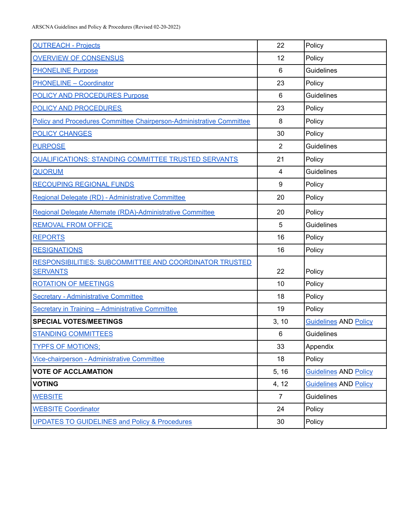| <b>OUTREACH - Projects</b>                                           | 22             | Policy                       |
|----------------------------------------------------------------------|----------------|------------------------------|
| <b>OVERVIEW OF CONSENSUS</b>                                         | 12             | Policy                       |
| <b>PHONELINE Purpose</b>                                             | 6              | Guidelines                   |
| <b>PHONELINE - Coordinator</b>                                       | 23             | Policy                       |
| <b>POLICY AND PROCEDURES Purpose</b>                                 | 6              | <b>Guidelines</b>            |
| POLICY AND PROCEDURES                                                | 23             | Policy                       |
| Policy and Procedures Committee Chairperson-Administrative Committee | 8              | Policy                       |
| <b>POLICY CHANGES</b>                                                | 30             | Policy                       |
| <b>PURPOSE</b>                                                       | $\overline{2}$ | Guidelines                   |
| QUALIFICATIONS: STANDING COMMITTEE TRUSTED SERVANTS                  | 21             | Policy                       |
| <b>QUORUM</b>                                                        | $\overline{4}$ | Guidelines                   |
| <b>RECOUPING REGIONAL FUNDS</b>                                      | 9              | Policy                       |
| Regional Delegate (RD) - Administrative Committee                    | 20             | Policy                       |
| Regional Delegate Alternate (RDA)-Administrative Committee           | 20             | Policy                       |
| <b>REMOVAL FROM OFFICE</b>                                           | 5              | Guidelines                   |
| <b>REPORTS</b>                                                       | 16             | Policy                       |
| <b>RESIGNATIONS</b>                                                  | 16             | Policy                       |
| RESPONSIBILITIES: SUBCOMMITTEE AND COORDINATOR TRUSTED               |                |                              |
| <b>SERVANTS</b>                                                      | 22             | Policy                       |
| <b>ROTATION OF MEETINGS</b>                                          | 10             | Policy                       |
| <b>Secretary - Administrative Committee</b>                          | 18             | Policy                       |
| Secretary in Training - Administrative Committee                     | 19             | Policy                       |
| <b>SPECIAL VOTES/MEETINGS</b>                                        | 3, 10          | <b>Guidelines AND Policy</b> |
| <b>STANDING COMMITTEES</b>                                           | 6              | Guidelines                   |
| <b>TYPES OF MOTIONS:</b>                                             | 33             | Appendix                     |
| Vice-chairperson - Administrative Committee                          | 18             | Policy                       |
| <b>VOTE OF ACCLAMATION</b>                                           | 5, 16          | <b>Guidelines AND Policy</b> |
| <b>VOTING</b>                                                        | 4, 12          | <b>Guidelines AND Policy</b> |
| <b>WEBSITE</b>                                                       | $\overline{7}$ | <b>Guidelines</b>            |
| <b>WEBSITE Coordinator</b>                                           | 24             | Policy                       |
| <b>UPDATES TO GUIDELINES and Policy &amp; Procedures</b>             | 30             | Policy                       |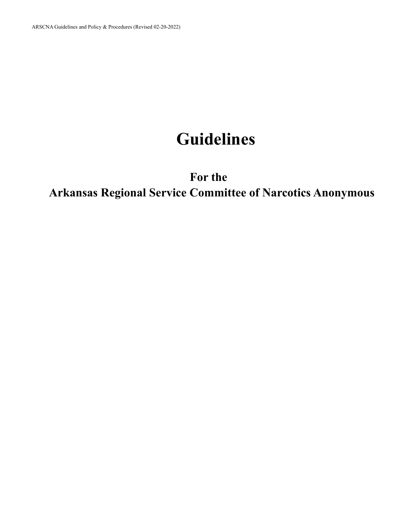# **Guidelines**

**For the**

<span id="page-5-1"></span><span id="page-5-0"></span>**Arkansas Regional Service Committee of Narcotics Anonymous**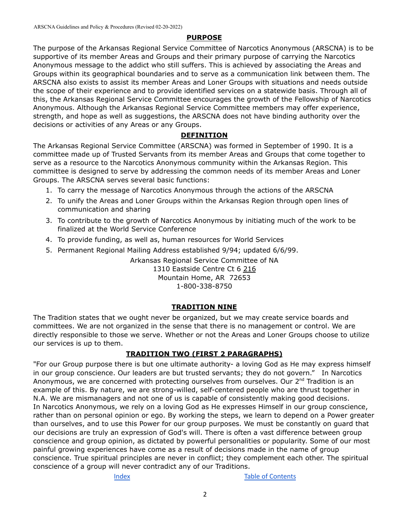#### **PURPOSE**

<span id="page-6-0"></span>The purpose of the Arkansas Regional Service Committee of Narcotics Anonymous (ARSCNA) is to be supportive of its member Areas and Groups and their primary purpose of carrying the Narcotics Anonymous message to the addict who still suffers. This is achieved by associating the Areas and Groups within its geographical boundaries and to serve as a communication link between them. The ARSCNA also exists to assist its member Areas and Loner Groups with situations and needs outside the scope of their experience and to provide identified services on a statewide basis. Through all of this, the Arkansas Regional Service Committee encourages the growth of the Fellowship of Narcotics Anonymous. Although the Arkansas Regional Service Committee members may offer experience, strength, and hope as well as suggestions, the ARSCNA does not have binding authority over the decisions or activities of any Areas or any Groups.

#### **DEFINITION**

<span id="page-6-1"></span>The Arkansas Regional Service Committee (ARSCNA) was formed in September of 1990. It is a committee made up of Trusted Servants from its member Areas and Groups that come together to serve as a resource to the Narcotics Anonymous community within the Arkansas Region. This committee is designed to serve by addressing the common needs of its member Areas and Loner Groups. The ARSCNA serves several basic functions:

- 1. To carry the message of Narcotics Anonymous through the actions of the ARSCNA
- 2. To unify the Areas and Loner Groups within the Arkansas Region through open lines of communication and sharing
- 3. To contribute to the growth of Narcotics Anonymous by initiating much of the work to be finalized at the World Service Conference
- 4. To provide funding, as well as, human resources for World Services
- 5. Permanent Regional Mailing Address established 9/94; updated 6/6/99.

Arkansas Regional Service Committee of NA 1310 Eastside Centre Ct 6 216 Mountain Home, AR 72653 1-800-338-8750

#### **TRADITION NINE**

<span id="page-6-2"></span>The Tradition states that we ought never be organized, but we may create service boards and committees. We are not organized in the sense that there is no management or control. We are directly responsible to those we serve. Whether or not the Areas and Loner Groups choose to utilize our services is up to them.

#### **TRADITION TWO (FIRST 2 PARAGRAPHS)**

<span id="page-6-3"></span>"For our Group purpose there is but one ultimate authority- a loving God as He may express himself in our group conscience. Our leaders are but trusted servants; they do not govern." In Narcotics Anonymous, we are concerned with protecting ourselves from ourselves. Our 2<sup>nd</sup> Tradition is an example of this. By nature, we are strong-willed, self-centered people who are thrust together in N.A. We are mismanagers and not one of us is capable of consistently making good decisions. In Narcotics Anonymous, we rely on a loving God as He expresses Himself in our group conscience, rather than on personal opinion or ego. By working the steps, we learn to depend on a Power greater than ourselves, and to use this Power for our group purposes. We must be constantly on guard that our decisions are truly an expression of God's will. There is often a vast difference between group conscience and group opinion, as dictated by powerful personalities or popularity. Some of our most painful growing experiences have come as a result of decisions made in the name of group conscience. True spiritual principles are never in conflict; they complement each other. The spiritual conscience of a group will never contradict any of our Traditions.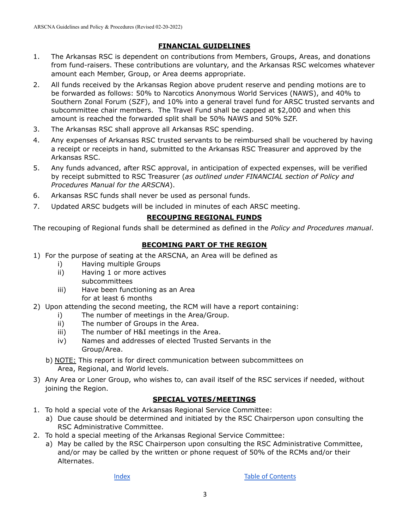#### **FINANCIAL GUIDELINES**

- <span id="page-7-0"></span>1. The Arkansas RSC is dependent on contributions from Members, Groups, Areas, and donations from fund-raisers. These contributions are voluntary, and the Arkansas RSC welcomes whatever amount each Member, Group, or Area deems appropriate.
- 2. All funds received by the Arkansas Region above prudent reserve and pending motions are to be forwarded as follows: 50% to Narcotics Anonymous World Services (NAWS), and 40% to Southern Zonal Forum (SZF), and 10% into a general travel fund for ARSC trusted servants and subcommittee chair members. The Travel Fund shall be capped at \$2,000 and when this amount is reached the forwarded split shall be 50% NAWS and 50% SZF.
- 3. The Arkansas RSC shall approve all Arkansas RSC spending.
- 4. Any expenses of Arkansas RSC trusted servants to be reimbursed shall be vouchered by having a receipt or receipts in hand, submitted to the Arkansas RSC Treasurer and approved by the Arkansas RSC.
- 5. Any funds advanced, after RSC approval, in anticipation of expected expenses, will be verified by receipt submitted to RSC Treasurer (*as outlined under FINANCIAL section of Policy and Procedures Manual for the ARSCNA*).
- 6. Arkansas RSC funds shall never be used as personal funds.
- 7. Updated ARSC budgets will be included in minutes of each ARSC meeting.

#### **RECOUPING REGIONAL FUNDS**

The recouping of Regional funds shall be determined as defined in the *Policy and Procedures manual*.

#### **BECOMING PART OF THE REGION**

- <span id="page-7-1"></span>1) For the purpose of seating at the ARSCNA, an Area will be defined as
	- i) Having multiple Groups
	- ii) Having 1 or more actives
		- subcommittees
	- iii) Have been functioning as an Area for at least 6 months
- 2) Upon attending the second meeting, the RCM will have a report containing:
	- i) The number of meetings in the Area/Group.
	- ii) The number of Groups in the Area.
	- iii) The number of H&I meetings in the Area.
	- iv) Names and addresses of elected Trusted Servants in the Group/Area.
	- b) NOTE: This report is for direct communication between subcommittees on Area, Regional, and World levels.
- 3) Any Area or Loner Group, who wishes to, can avail itself of the RSC services if needed, without joining the Region.

#### **SPECIAL VOTES/MEETINGS**

- <span id="page-7-2"></span>1. To hold a special vote of the Arkansas Regional Service Committee:
	- a) Due cause should be determined and initiated by the RSC Chairperson upon consulting the RSC Administrative Committee.
- 2. To hold a special meeting of the Arkansas Regional Service Committee:
	- a) May be called by the RSC Chairperson upon consulting the RSC Administrative Committee, and/or may be called by the written or phone request of 50% of the RCMs and/or their Alternates.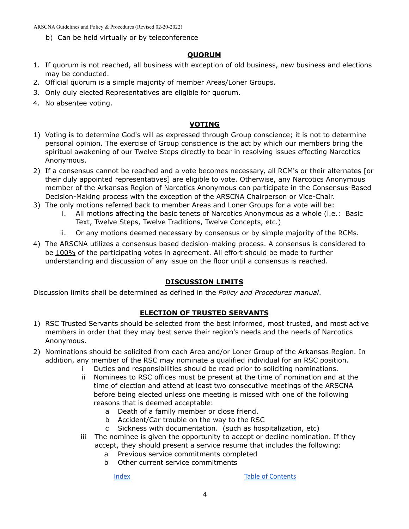b) Can be held virtually or by teleconference

#### **QUORUM**

- <span id="page-8-0"></span>1. If quorum is not reached, all business with exception of old business, new business and elections may be conducted.
- 2. Official quorum is a simple majority of member Areas/Loner Groups.
- 3. Only duly elected Representatives are eligible for quorum.
- 4. No absentee voting.

#### **VOTING**

- <span id="page-8-1"></span>1) Voting is to determine God's will as expressed through Group conscience; it is not to determine personal opinion. The exercise of Group conscience is the act by which our members bring the spiritual awakening of our Twelve Steps directly to bear in resolving issues effecting Narcotics Anonymous.
- 2) If a consensus cannot be reached and a vote becomes necessary, all RCM's or their alternates [or their duly appointed representatives] are eligible to vote. Otherwise, any Narcotics Anonymous member of the Arkansas Region of Narcotics Anonymous can participate in the Consensus-Based Decision-Making process with the exception of the ARSCNA Chairperson or Vice-Chair.
- 3) The only motions referred back to member Areas and Loner Groups for a vote will be:
	- i. All motions affecting the basic tenets of Narcotics Anonymous as a whole (i.e.: Basic Text, Twelve Steps, Twelve Traditions, Twelve Concepts, etc.)
	- ii. Or any motions deemed necessary by consensus or by simple majority of the RCMs.
- 4) The ARSCNA utilizes a consensus based decision-making process. A consensus is considered to be 100% of the participating votes in agreement. All effort should be made to further understanding and discussion of any issue on the floor until a consensus is reached.

#### **DISCUSSION LIMITS**

<span id="page-8-2"></span>Discussion limits shall be determined as defined in the *Policy and Procedures manual*.

#### **ELECTION OF TRUSTED SERVANTS**

- <span id="page-8-3"></span>1) RSC Trusted Servants should be selected from the best informed, most trusted, and most active members in order that they may best serve their region's needs and the needs of Narcotics Anonymous.
- 2) Nominations should be solicited from each Area and/or Loner Group of the Arkansas Region. In addition, any member of the RSC may nominate a qualified individual for an RSC position.
	- i Duties and responsibilities should be read prior to soliciting nominations.
	- ii Nominees to RSC offices must be present at the time of nomination and at the time of election and attend at least two consecutive meetings of the ARSCNA before being elected unless one meeting is missed with one of the following reasons that is deemed acceptable:
		- a Death of a family member or close friend.
		- b Accident/Car trouble on the way to the RSC
		- c Sickness with documentation. (such as hospitalization, etc)
	- iii The nominee is given the opportunity to accept or decline nomination. If they accept, they should present a service resume that includes the following:
		- a Previous service commitments completed
		- b Other current service commitments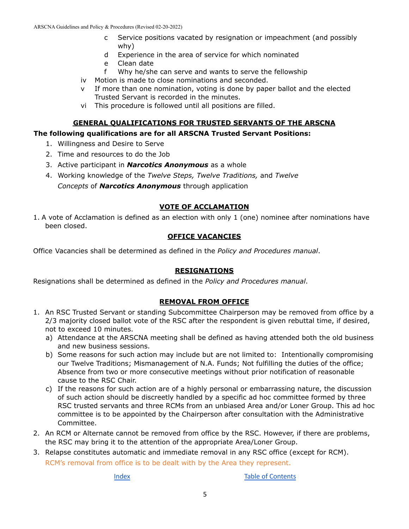- c Service positions vacated by resignation or impeachment (and possibly why)
- d Experience in the area of service for which nominated
- e Clean date
- f Why he/she can serve and wants to serve the fellowship
- iv Motion is made to close nominations and seconded.
- v If more than one nomination, voting is done by paper ballot and the elected Trusted Servant is recorded in the minutes.
- vi This procedure is followed until all positions are filled.

#### **GENERAL QUALIFICATIONS FOR TRUSTED SERVANTS OF THE ARSCNA**

#### <span id="page-9-0"></span>**The following qualifications are for all ARSCNA Trusted Servant Positions:**

- 1. Willingness and Desire to Serve
- 2. Time and resources to do the Job
- 3. Active participant in *Narcotics Anonymous* as a whole
- 4. Working knowledge of the *Twelve Steps, Twelve Traditions,* and *Twelve Concepts* of *Narcotics Anonymous* through application

#### **VOTE OF ACCLAMATION**

<span id="page-9-1"></span>1. A vote of Acclamation is defined as an election with only 1 (one) nominee after nominations have been closed.

#### **OFFICE VACANCIES**

Office Vacancies shall be determined as defined in the *Policy and Procedures manual*.

#### **RESIGNATIONS**

Resignations shall be determined as defined in the *Policy and Procedures manual*.

#### **REMOVAL FROM OFFICE**

- <span id="page-9-2"></span>1. An RSC Trusted Servant or standing Subcommittee Chairperson may be removed from office by a 2/3 majority closed ballot vote of the RSC after the respondent is given rebuttal time, if desired, not to exceed 10 minutes.
	- a) Attendance at the ARSCNA meeting shall be defined as having attended both the old business and new business sessions.
	- b) Some reasons for such action may include but are not limited to: Intentionally compromising our Twelve Traditions; Mismanagement of N.A. Funds; Not fulfilling the duties of the office; Absence from two or more consecutive meetings without prior notification of reasonable cause to the RSC Chair.
	- c) If the reasons for such action are of a highly personal or embarrassing nature, the discussion of such action should be discreetly handled by a specific ad hoc committee formed by three RSC trusted servants and three RCMs from an unbiased Area and/or Loner Group. This ad hoc committee is to be appointed by the Chairperson after consultation with the Administrative Committee.
- 2. An RCM or Alternate cannot be removed from office by the RSC. However, if there are problems, the RSC may bring it to the attention of the appropriate Area/Loner Group.
- 3. Relapse constitutes automatic and immediate removal in any RSC office (except for RCM). RCM's removal from office is to be dealt with by the Area they represent.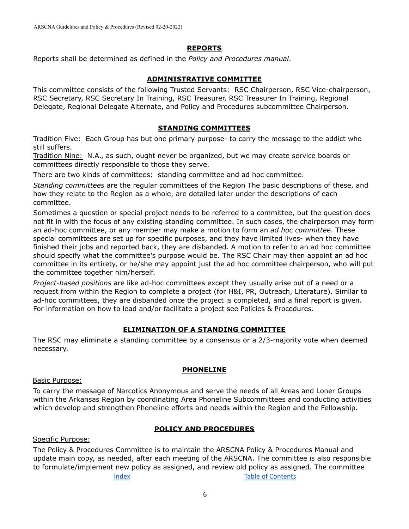#### **REPORTS**

<span id="page-10-0"></span>Reports shall be determined as defined in the *Policy and Procedures manual*.

#### **ADMINISTRATIVE COMMITTEE**

<span id="page-10-1"></span>This committee consists of the following Trusted Servants: RSC Chairperson, RSC Vice-chairperson, RSC Secretary, RSC Secretary In Training, RSC Treasurer, RSC Treasurer In Training, Regional Delegate, Regional Delegate Alternate, and Policy and Procedures subcommittee Chairperson.

#### **STANDING COMMITTEES**

<span id="page-10-2"></span>Tradition Five: Each Group has but one primary purpose- to carry the message to the addict who still suffers.

Tradition Nine: N.A., as such, ought never be organized, but we may create service boards or committees directly responsible to those they serve.

There are two kinds of committees: standing committee and ad hoc committee.

*Standing committees* are the regular committees of the Region The basic descriptions of these, and how they relate to the Region as a whole, are detailed later under the descriptions of each committee.

Sometimes a question or special project needs to be referred to a committee, but the question does not fit in with the focus of any existing standing committee. In such cases, the chairperson may form an ad-hoc committee, or any member may make a motion to form an *ad hoc committee*. These special committees are set up for specific purposes, and they have limited lives- when they have finished their jobs and reported back, they are disbanded. A motion to refer to an ad hoc committee should specify what the committee's purpose would be. The RSC Chair may then appoint an ad hoc committee in its entirety, or he/she may appoint just the ad hoc committee chairperson, who will put the committee together him/herself.

*Project-based positions* are like ad-hoc committees except they usually arise out of a need or a request from within the Region to complete a project (for H&I, PR, Outreach, Literature). Similar to ad-hoc committees, they are disbanded once the project is completed, and a final report is given. For information on how to lead and/or facilitate a project see Policies & Procedures.

#### **ELIMINATION OF A STANDING COMMITTEE**

<span id="page-10-3"></span>The RSC may eliminate a standing committee by a consensus or a 2/3-majority vote when deemed necessary.

#### **PHONELINE**

#### <span id="page-10-4"></span>Basic Purpose:

To carry the message of Narcotics Anonymous and serve the needs of all Areas and Loner Groups within the Arkansas Region by coordinating Area Phoneline Subcommittees and conducting activities which develop and strengthen Phoneline efforts and needs within the Region and the Fellowship.

#### **POLICY AND PROCEDURES**

#### <span id="page-10-5"></span>Specific Purpose:

The Policy & Procedures Committee is to maintain the ARSCNA Policy & Procedures Manual and update main copy, as needed, after each meeting of the ARSCNA. The committee is also responsible to formulate/implement new policy as assigned, and review old policy as assigned. The committee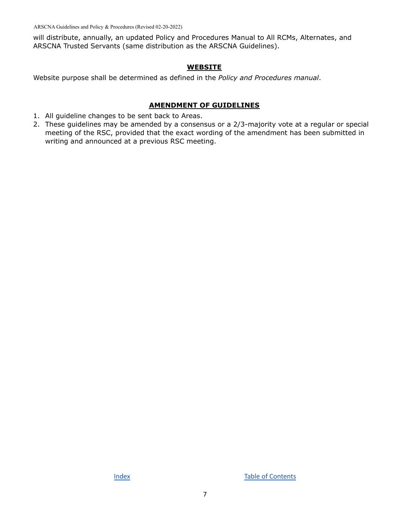will distribute, annually, an updated Policy and Procedures Manual to All RCMs, Alternates, and ARSCNA Trusted Servants (same distribution as the ARSCNA Guidelines).

#### **WEBSITE**

<span id="page-11-0"></span>Website purpose shall be determined as defined in the *Policy and Procedures manual*.

#### **AMENDMENT OF GUIDELINES**

- <span id="page-11-1"></span>1. All guideline changes to be sent back to Areas.
- 2. These guidelines may be amended by a consensus or a 2/3-majority vote at a regular or special meeting of the RSC, provided that the exact wording of the amendment has been submitted in writing and announced at a previous RSC meeting.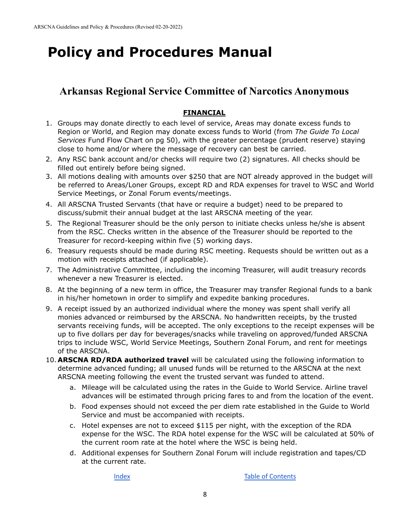# <span id="page-12-0"></span>**Policy and Procedures Manual**

## **Arkansas Regional Service Committee of Narcotics Anonymous**

### **FINANCIAL**

- <span id="page-12-1"></span>1. Groups may donate directly to each level of service, Areas may donate excess funds to Region or World, and Region may donate excess funds to World (from *The Guide To Local Services* Fund Flow Chart on pg 50), with the greater percentage (prudent reserve) staying close to home and/or where the message of recovery can best be carried.
- 2. Any RSC bank account and/or checks will require two (2) signatures. All checks should be filled out entirely before being signed.
- 3. All motions dealing with amounts over \$250 that are NOT already approved in the budget will be referred to Areas/Loner Groups, except RD and RDA expenses for travel to WSC and World Service Meetings, or Zonal Forum events/meetings.
- 4. All ARSCNA Trusted Servants (that have or require a budget) need to be prepared to discuss/submit their annual budget at the last ARSCNA meeting of the year.
- 5. The Regional Treasurer should be the only person to initiate checks unless he/she is absent from the RSC. Checks written in the absence of the Treasurer should be reported to the Treasurer for record-keeping within five (5) working days.
- 6. Treasury requests should be made during RSC meeting. Requests should be written out as a motion with receipts attached (if applicable).
- 7. The Administrative Committee, including the incoming Treasurer, will audit treasury records whenever a new Treasurer is elected.
- 8. At the beginning of a new term in office, the Treasurer may transfer Regional funds to a bank in his/her hometown in order to simplify and expedite banking procedures.
- 9. A receipt issued by an authorized individual where the money was spent shall verify all monies advanced or reimbursed by the ARSCNA. No handwritten receipts, by the trusted servants receiving funds, will be accepted. The only exceptions to the receipt expenses will be up to five dollars per day for beverages/snacks while traveling on approved/funded ARSCNA trips to include WSC, World Service Meetings, Southern Zonal Forum, and rent for meetings of the ARSCNA.
- 10. **ARSCNA RD/RDA authorized travel** will be calculated using the following information to determine advanced funding; all unused funds will be returned to the ARSCNA at the next ARSCNA meeting following the event the trusted servant was funded to attend.
	- a. Mileage will be calculated using the rates in the Guide to World Service. Airline travel advances will be estimated through pricing fares to and from the location of the event.
	- b. Food expenses should not exceed the per diem rate established in the Guide to World Service and must be accompanied with receipts.
	- c. Hotel expenses are not to exceed \$115 per night, with the exception of the RDA expense for the WSC. The RDA hotel expense for the WSC will be calculated at 50% of the current room rate at the hotel where the WSC is being held.
	- d. Additional expenses for Southern Zonal Forum will include registration and tapes/CD at the current rate.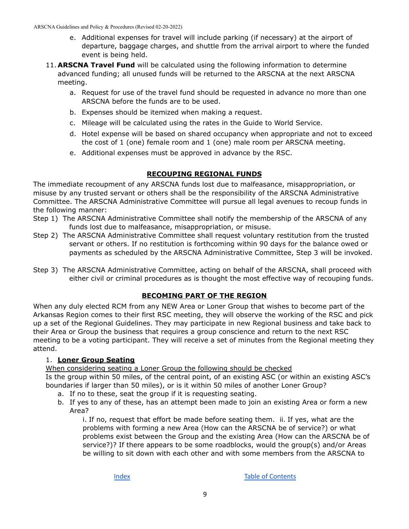- e. Additional expenses for travel will include parking (if necessary) at the airport of departure, baggage charges, and shuttle from the arrival airport to where the funded event is being held.
- 11. **ARSCNA Travel Fund** will be calculated using the following information to determine advanced funding; all unused funds will be returned to the ARSCNA at the next ARSCNA meeting.
	- a. Request for use of the travel fund should be requested in advance no more than one ARSCNA before the funds are to be used.
	- b. Expenses should be itemized when making a request.
	- c. Mileage will be calculated using the rates in the Guide to World Service.
	- d. Hotel expense will be based on shared occupancy when appropriate and not to exceed the cost of 1 (one) female room and 1 (one) male room per ARSCNA meeting.
	- e. Additional expenses must be approved in advance by the RSC.

#### **RECOUPING REGIONAL FUNDS**

<span id="page-13-0"></span>The immediate recoupment of any ARSCNA funds lost due to malfeasance, misappropriation, or misuse by any trusted servant or others shall be the responsibility of the ARSCNA Administrative Committee. The ARSCNA Administrative Committee will pursue all legal avenues to recoup funds in the following manner:

- Step 1) The ARSCNA Administrative Committee shall notify the membership of the ARSCNA of any funds lost due to malfeasance, misappropriation, or misuse.
- Step 2) The ARSCNA Administrative Committee shall request voluntary restitution from the trusted servant or others. If no restitution is forthcoming within 90 days for the balance owed or payments as scheduled by the ARSCNA Administrative Committee, Step 3 will be invoked.
- Step 3) The ARSCNA Administrative Committee, acting on behalf of the ARSCNA, shall proceed with either civil or criminal procedures as is thought the most effective way of recouping funds.

#### **BECOMING PART OF THE REGION**

<span id="page-13-1"></span>When any duly elected RCM from any NEW Area or Loner Group that wishes to become part of the Arkansas Region comes to their first RSC meeting, they will observe the working of the RSC and pick up a set of the Regional Guidelines. They may participate in new Regional business and take back to their Area or Group the business that requires a group conscience and return to the next RSC meeting to be a voting participant. They will receive a set of minutes from the Regional meeting they attend.

#### 1. **Loner Group Seating**

When considering seating a Loner Group the following should be checked

Is the group within 50 miles, of the central point, of an existing ASC (or within an existing ASC's boundaries if larger than 50 miles), or is it within 50 miles of another Loner Group?

- a. If no to these, seat the group if it is requesting seating.
- b. If yes to any of these, has an attempt been made to join an existing Area or form a new Area?

i. If no, request that effort be made before seating them. ii. If yes, what are the problems with forming a new Area (How can the ARSCNA be of service?) or what problems exist between the Group and the existing Area (How can the ARSCNA be of service?)? If there appears to be some roadblocks, would the group(s) and/or Areas be willing to sit down with each other and with some members from the ARSCNA to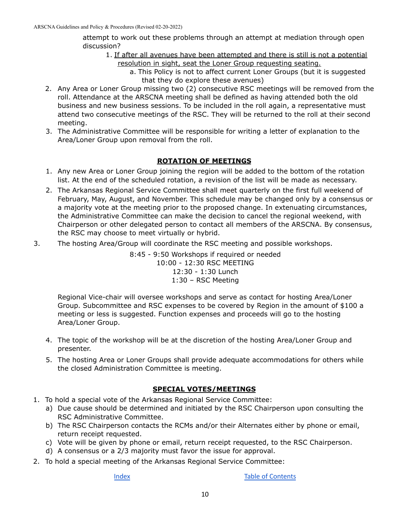attempt to work out these problems through an attempt at mediation through open discussion?

- 1. If after all avenues have been attempted and there is still is not a potential resolution in sight, seat the Loner Group requesting seating.
	- a. This Policy is not to affect current Loner Groups (but it is suggested that they do explore these avenues)
- 2. Any Area or Loner Group missing two (2) consecutive RSC meetings will be removed from the roll. Attendance at the ARSCNA meeting shall be defined as having attended both the old business and new business sessions. To be included in the roll again, a representative must attend two consecutive meetings of the RSC. They will be returned to the roll at their second meeting.
- 3. The Administrative Committee will be responsible for writing a letter of explanation to the Area/Loner Group upon removal from the roll.

#### **ROTATION OF MEETINGS**

- <span id="page-14-0"></span>1. Any new Area or Loner Group joining the region will be added to the bottom of the rotation list. At the end of the scheduled rotation, a revision of the list will be made as necessary.
- 2. The Arkansas Regional Service Committee shall meet quarterly on the first full weekend of February, May, August, and November. This schedule may be changed only by a consensus or a majority vote at the meeting prior to the proposed change. In extenuating circumstances, the Administrative Committee can make the decision to cancel the regional weekend, with Chairperson or other delegated person to contact all members of the ARSCNA. By consensus, the RSC may choose to meet virtually or hybrid.
- 3. The hosting Area/Group will coordinate the RSC meeting and possible workshops.

8:45 - 9:50 Workshops if required or needed 10:00 - 12:30 RSC MEETING 12:30 - 1:30 Lunch 1:30 – RSC Meeting

Regional Vice-chair will oversee workshops and serve as contact for hosting Area/Loner Group. Subcommittee and RSC expenses to be covered by Region in the amount of \$100 a meeting or less is suggested. Function expenses and proceeds will go to the hosting Area/Loner Group.

- 4. The topic of the workshop will be at the discretion of the hosting Area/Loner Group and presenter.
- 5. The hosting Area or Loner Groups shall provide adequate accommodations for others while the closed Administration Committee is meeting.

#### **SPECIAL VOTES/MEETINGS**

- <span id="page-14-1"></span>1. To hold a special vote of the Arkansas Regional Service Committee:
	- a) Due cause should be determined and initiated by the RSC Chairperson upon consulting the RSC Administrative Committee.
	- b) The RSC Chairperson contacts the RCMs and/or their Alternates either by phone or email, return receipt requested.
	- c) Vote will be given by phone or email, return receipt requested, to the RSC Chairperson.
	- d) A consensus or a 2/3 majority must favor the issue for approval.
- 2. To hold a special meeting of the Arkansas Regional Service Committee: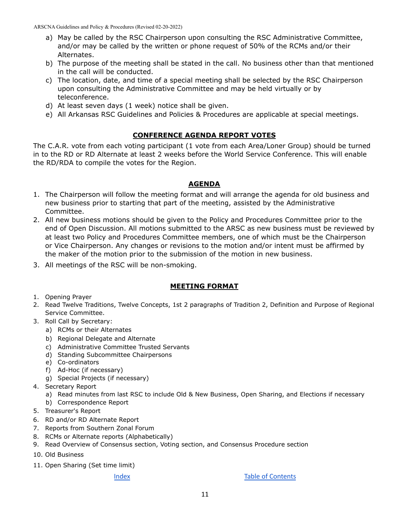- a) May be called by the RSC Chairperson upon consulting the RSC Administrative Committee, and/or may be called by the written or phone request of 50% of the RCMs and/or their Alternates.
- b) The purpose of the meeting shall be stated in the call. No business other than that mentioned in the call will be conducted.
- c) The location, date, and time of a special meeting shall be selected by the RSC Chairperson upon consulting the Administrative Committee and may be held virtually or by teleconference.
- d) At least seven days (1 week) notice shall be given.
- e) All Arkansas RSC Guidelines and Policies & Procedures are applicable at special meetings.

#### **CONFERENCE AGENDA REPORT VOTES**

<span id="page-15-0"></span>The C.A.R. vote from each voting participant (1 vote from each Area/Loner Group) should be turned in to the RD or RD Alternate at least 2 weeks before the World Service Conference. This will enable the RD/RDA to compile the votes for the Region.

#### **AGENDA**

- <span id="page-15-1"></span>1. The Chairperson will follow the meeting format and will arrange the agenda for old business and new business prior to starting that part of the meeting, assisted by the Administrative Committee.
- 2. All new business motions should be given to the Policy and Procedures Committee prior to the end of Open Discussion. All motions submitted to the ARSC as new business must be reviewed by at least two Policy and Procedures Committee members, one of which must be the Chairperson or Vice Chairperson. Any changes or revisions to the motion and/or intent must be affirmed by the maker of the motion prior to the submission of the motion in new business.
- 3. All meetings of the RSC will be non-smoking.

#### **MEETING FORMAT**

- <span id="page-15-2"></span>1. Opening Prayer
- 2. Read Twelve Traditions, Twelve Concepts, 1st 2 paragraphs of Tradition 2, Definition and Purpose of Regional Service Committee.
- 3. Roll Call by Secretary:
	- a) RCMs or their Alternates
	- b) Regional Delegate and Alternate
	- c) Administrative Committee Trusted Servants
	- d) Standing Subcommittee Chairpersons
	- e) Co-ordinators
	- f) Ad-Hoc (if necessary)
	- g) Special Projects (if necessary)
- 4. Secretary Report
	- a) Read minutes from last RSC to include Old & New Business, Open Sharing, and Elections if necessary
	- b) Correspondence Report
- 5. Treasurer's Report
- 6. RD and/or RD Alternate Report
- 7. Reports from Southern Zonal Forum
- 8. RCMs or Alternate reports (Alphabetically)
- 9. Read Overview of Consensus section, Voting section, and Consensus Procedure section
- 10. Old Business
- 11. Open Sharing (Set time limit)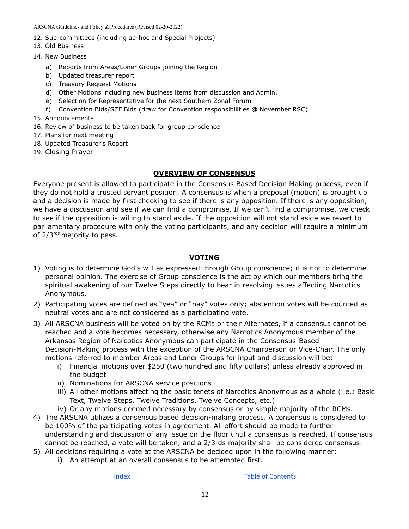- 12. Sub-committees (including ad-hoc and Special Projects)
- 13. Old Business
- 14. New Business
	- a) Reports from Areas/Loner Groups joining the Region
	- b) Updated treasurer report
	- c) Treasury Request Motions
	- d) Other Motions including new business items from discussion and Admin.
	- e) Selection for Representative for the next Southern Zonal Forum
	- f) Convention Bids/SZF Bids (draw for Convention responsibilities @ November RSC)
- 15. Announcements
- 16. Review of business to be taken back for group conscience
- 17. Plans for next meeting
- 18. Updated Treasurer's Report
- 19. Closing Prayer

#### **OVERVIEW OF CONSENSUS**

<span id="page-16-0"></span>Everyone present is allowed to participate in the Consensus Based Decision Making process, even if they do not hold a trusted servant position. A consensus is when a proposal (motion) is brought up and a decision is made by first checking to see if there is any opposition. If there is any opposition, we have a discussion and see if we can find a compromise. If we can't find a compromise, we check to see if the opposition is willing to stand aside. If the opposition will not stand aside we revert to parliamentary procedure with only the voting participants, and any decision will require a minimum of 2/3<sup>rds</sup> majority to pass.

#### **VOTING**

- <span id="page-16-1"></span>1) Voting is to determine God's will as expressed through Group conscience; it is not to determine personal opinion. The exercise of Group conscience is the act by which our members bring the spiritual awakening of our Twelve Steps directly to bear in resolving issues affecting Narcotics Anonymous.
- 2) Participating votes are defined as "yea" or "nay" votes only; abstention votes will be counted as neutral votes and are not considered as a participating vote.
- 3) All ARSCNA business will be voted on by the RCMs or their Alternates, if a consensus cannot be reached and a vote becomes necessary, otherwise any Narcotics Anonymous member of the Arkansas Region of Narcotics Anonymous can participate in the Consensus-Based Decision-Making process with the exception of the ARSCNA Chairperson or Vice-Chair. The only motions referred to member Areas and Loner Groups for input and discussion will be:
	- i) Financial motions over \$250 (two hundred and fifty dollars) unless already approved in the budget
	- ii) Nominations for ARSCNA service positions
	- iii) All other motions affecting the basic tenets of Narcotics Anonymous as a whole (i.e.: Basic Text, Twelve Steps, Twelve Traditions, Twelve Concepts, etc.)
	- iv) Or any motions deemed necessary by consensus or by simple majority of the RCMs.
- 4) The ARSCNA utilizes a consensus based decision-making process. A consensus is considered to be 100% of the participating votes in agreement. All effort should be made to further understanding and discussion of any issue on the floor until a consensus is reached. If consensus cannot be reached, a vote will be taken, and a 2/3rds majority shall be considered consensus.
- 5) All decisions requiring a vote at the ARSCNA be decided upon in the following manner:
	- i) An attempt at an overall consensus to be attempted first.

[Index](#page-3-0) **Index Index Index Index Index**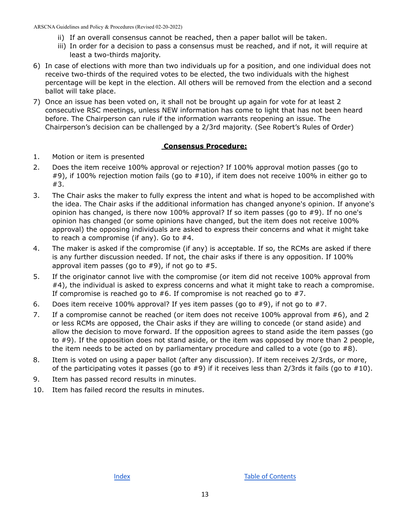- ii) If an overall consensus cannot be reached, then a paper ballot will be taken.
- iii) In order for a decision to pass a consensus must be reached, and if not, it will require at least a two-thirds majority.
- 6) In case of elections with more than two individuals up for a position, and one individual does not receive two-thirds of the required votes to be elected, the two individuals with the highest percentage will be kept in the election. All others will be removed from the election and a second ballot will take place.
- 7) Once an issue has been voted on, it shall not be brought up again for vote for at least 2 consecutive RSC meetings, unless NEW information has come to light that has not been heard before. The Chairperson can rule if the information warrants reopening an issue. The Chairperson's decision can be challenged by a 2/3rd majority. (See Robert's Rules of Order)

#### **Consensus Procedure:**

- <span id="page-17-0"></span>1. Motion or item is presented
- 2. Does the item receive 100% approval or rejection? If 100% approval motion passes (go to #9), if 100% rejection motion fails (go to #10), if item does not receive 100% in either go to #3.
- 3. The Chair asks the maker to fully express the intent and what is hoped to be accomplished with the idea. The Chair asks if the additional information has changed anyone's opinion. If anyone's opinion has changed, is there now 100% approval? If so item passes (go to #9). If no one's opinion has changed (or some opinions have changed, but the item does not receive 100% approval) the opposing individuals are asked to express their concerns and what it might take to reach a compromise (if any). Go to #4.
- 4. The maker is asked if the compromise (if any) is acceptable. If so, the RCMs are asked if there is any further discussion needed. If not, the chair asks if there is any opposition. If 100% approval item passes (go to  $#9$ ), if not go to  $#5$ .
- 5. If the originator cannot live with the compromise (or item did not receive 100% approval from #4), the individual is asked to express concerns and what it might take to reach a compromise. If compromise is reached go to #6. If compromise is not reached go to #7.
- 6. Does item receive 100% approval? If yes item passes (go to  $#9$ ), if not go to  $#7$ .
- 7. If a compromise cannot be reached (or item does not receive 100% approval from #6), and 2 or less RCMs are opposed, the Chair asks if they are willing to concede (or stand aside) and allow the decision to move forward. If the opposition agrees to stand aside the item passes (go to #9). If the opposition does not stand aside, or the item was opposed by more than 2 people, the item needs to be acted on by parliamentary procedure and called to a vote (go to  $#8$ ).
- 8. Item is voted on using a paper ballot (after any discussion). If item receives 2/3rds, or more, of the participating votes it passes (go to #9) if it receives less than 2/3rds it fails (go to #10).
- 9. Item has passed record results in minutes.
- 10. Item has failed record the results in minutes.

[Index](#page-3-0) **Index Index Index Index Index**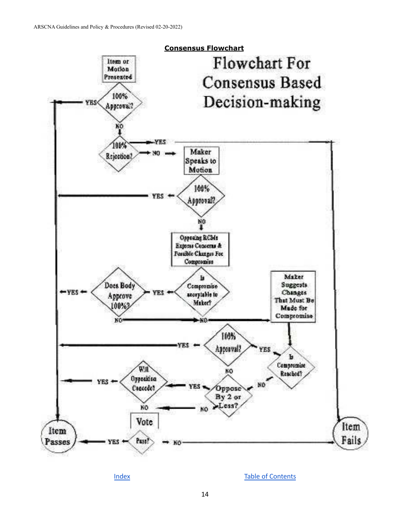<span id="page-18-0"></span>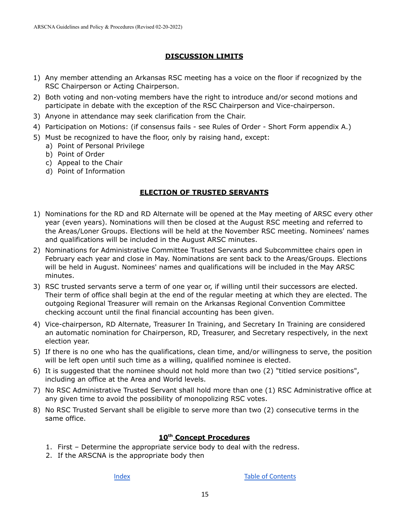#### **DISCUSSION LIMITS**

- <span id="page-19-0"></span>1) Any member attending an Arkansas RSC meeting has a voice on the floor if recognized by the RSC Chairperson or Acting Chairperson.
- 2) Both voting and non-voting members have the right to introduce and/or second motions and participate in debate with the exception of the RSC Chairperson and Vice-chairperson.
- 3) Anyone in attendance may seek clarification from the Chair.
- 4) Participation on Motions: (if consensus fails see Rules of Order Short Form appendix A.)
- 5) Must be recognized to have the floor, only by raising hand, except:
	- a) Point of Personal Privilege
	- b) Point of Order
	- c) Appeal to the Chair
	- d) Point of Information

#### **ELECTION OF TRUSTED SERVANTS**

- <span id="page-19-1"></span>1) Nominations for the RD and RD Alternate will be opened at the May meeting of ARSC every other year (even years). Nominations will then be closed at the August RSC meeting and referred to the Areas/Loner Groups. Elections will be held at the November RSC meeting. Nominees' names and qualifications will be included in the August ARSC minutes.
- 2) Nominations for Administrative Committee Trusted Servants and Subcommittee chairs open in February each year and close in May. Nominations are sent back to the Areas/Groups. Elections will be held in August. Nominees' names and qualifications will be included in the May ARSC minutes.
- 3) RSC trusted servants serve a term of one year or, if willing until their successors are elected. Their term of office shall begin at the end of the regular meeting at which they are elected. The outgoing Regional Treasurer will remain on the Arkansas Regional Convention Committee checking account until the final financial accounting has been given.
- 4) Vice-chairperson, RD Alternate, Treasurer In Training, and Secretary In Training are considered an automatic nomination for Chairperson, RD, Treasurer, and Secretary respectively, in the next election year.
- 5) If there is no one who has the qualifications, clean time, and/or willingness to serve, the position will be left open until such time as a willing, qualified nominee is elected.
- 6) It is suggested that the nominee should not hold more than two (2) "titled service positions", including an office at the Area and World levels.
- 7) No RSC Administrative Trusted Servant shall hold more than one (1) RSC Administrative office at any given time to avoid the possibility of monopolizing RSC votes.
- 8) No RSC Trusted Servant shall be eligible to serve more than two (2) consecutive terms in the same office.

#### **10 th Concept Procedures**

- <span id="page-19-2"></span>1. First – Determine the appropriate service body to deal with the redress.
- 2. If the ARSCNA is the appropriate body then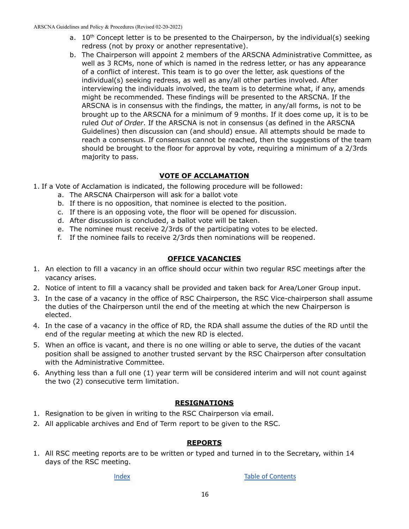- a. 10<sup>th</sup> Concept letter is to be presented to the Chairperson, by the individual(s) seeking redress (not by proxy or another representative).
- b. The Chairperson will appoint 2 members of the ARSCNA Administrative Committee, as well as 3 RCMs, none of which is named in the redress letter, or has any appearance of a conflict of interest. This team is to go over the letter, ask questions of the individual(s) seeking redress, as well as any/all other parties involved. After interviewing the individuals involved, the team is to determine what, if any, amends might be recommended. These findings will be presented to the ARSCNA. If the ARSCNA is in consensus with the findings, the matter, in any/all forms, is not to be brought up to the ARSCNA for a minimum of 9 months. If it does come up, it is to be ruled *Out of Order*. If the ARSCNA is not in consensus (as defined in the ARSCNA Guidelines) then discussion can (and should) ensue. All attempts should be made to reach a consensus. If consensus cannot be reached, then the suggestions of the team should be brought to the floor for approval by vote, requiring a minimum of a 2/3rds majority to pass.

#### **VOTE OF ACCLAMATION**

- <span id="page-20-0"></span>1. If a Vote of Acclamation is indicated, the following procedure will be followed:
	- a. The ARSCNA Chairperson will ask for a ballot vote
	- b. If there is no opposition, that nominee is elected to the position.
	- c. If there is an opposing vote, the floor will be opened for discussion.
	- d. After discussion is concluded, a ballot vote will be taken.
	- e. The nominee must receive 2/3rds of the participating votes to be elected.
	- f. If the nominee fails to receive 2/3rds then nominations will be reopened.

#### **OFFICE VACANCIES**

- <span id="page-20-1"></span>1. An election to fill a vacancy in an office should occur within two regular RSC meetings after the vacancy arises.
- 2. Notice of intent to fill a vacancy shall be provided and taken back for Area/Loner Group input.
- 3. In the case of a vacancy in the office of RSC Chairperson, the RSC Vice-chairperson shall assume the duties of the Chairperson until the end of the meeting at which the new Chairperson is elected.
- 4. In the case of a vacancy in the office of RD, the RDA shall assume the duties of the RD until the end of the regular meeting at which the new RD is elected.
- 5. When an office is vacant, and there is no one willing or able to serve, the duties of the vacant position shall be assigned to another trusted servant by the RSC Chairperson after consultation with the Administrative Committee.
- 6. Anything less than a full one (1) year term will be considered interim and will not count against the two (2) consecutive term limitation.

#### **RESIGNATIONS**

- <span id="page-20-2"></span>1. Resignation to be given in writing to the RSC Chairperson via email.
- 2. All applicable archives and End of Term report to be given to the RSC.

#### **REPORTS**

<span id="page-20-3"></span>1. All RSC meeting reports are to be written or typed and turned in to the Secretary, within 14 days of the RSC meeting.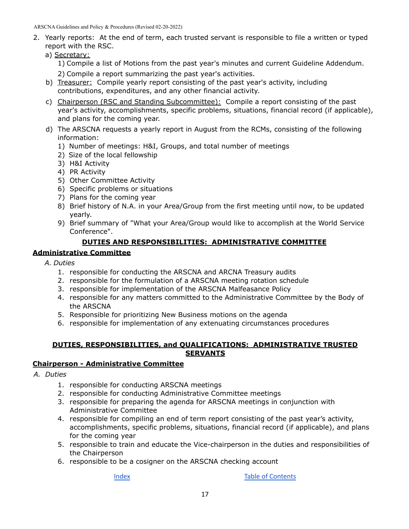- 2. Yearly reports: At the end of term, each trusted servant is responsible to file a written or typed report with the RSC.
	- a) Secretary:
		- 1) Compile a list of Motions from the past year's minutes and current Guideline Addendum.
		- 2) Compile a report summarizing the past year's activities.
	- b) Treasurer: Compile yearly report consisting of the past year's activity, including contributions, expenditures, and any other financial activity.
	- c) Chairperson (RSC and Standing Subcommittee): Compile a report consisting of the past year's activity, accomplishments, specific problems, situations, financial record (if applicable), and plans for the coming year.
	- d) The ARSCNA requests a yearly report in August from the RCMs, consisting of the following information:
		- 1) Number of meetings: H&I, Groups, and total number of meetings
		- 2) Size of the local fellowship
		- 3) H&I Activity
		- 4) PR Activity
		- 5) Other Committee Activity
		- 6) Specific problems or situations
		- 7) Plans for the coming year
		- 8) Brief history of N.A. in your Area/Group from the first meeting until now, to be updated yearly.
		- 9) Brief summary of "What your Area/Group would like to accomplish at the World Service Conference".

#### **DUTIES AND RESPONSIBILITIES: ADMINISTRATIVE COMMITTEE**

#### <span id="page-21-0"></span>**Administrative Committee**

- *A. Duties*
	- 1. responsible for conducting the ARSCNA and ARCNA Treasury audits
	- 2. responsible for the formulation of a ARSCNA meeting rotation schedule
	- 3. responsible for implementation of the ARSCNA Malfeasance Policy
	- 4. responsible for any matters committed to the Administrative Committee by the Body of the ARSCNA
	- 5. Responsible for prioritizing New Business motions on the agenda
	- 6. responsible for implementation of any extenuating circumstances procedures

#### **DUTIES, RESPONSIBILITIES, and QUALIFICATIONS: ADMINISTRATIVE TRUSTED SERVANTS**

#### <span id="page-21-2"></span><span id="page-21-1"></span>**Chairperson - Administrative Committee**

- *A. Duties*
	- 1. responsible for conducting ARSCNA meetings
	- 2. responsible for conducting Administrative Committee meetings
	- 3. responsible for preparing the agenda for ARSCNA meetings in conjunction with Administrative Committee
	- 4. responsible for compiling an end of term report consisting of the past year's activity, accomplishments, specific problems, situations, financial record (if applicable), and plans for the coming year
	- 5. responsible to train and educate the Vice-chairperson in the duties and responsibilities of the Chairperson
	- 6. responsible to be a cosigner on the ARSCNA checking account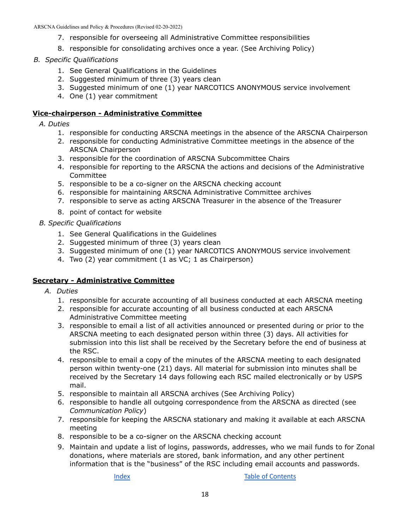- 7. responsible for overseeing all Administrative Committee responsibilities
- 8. responsible for consolidating archives once a year. (See Archiving Policy)

#### *B. Specific Qualifications*

- 1. See General Qualifications in the Guidelines
- 2. Suggested minimum of three (3) years clean
- 3. Suggested minimum of one (1) year NARCOTICS ANONYMOUS service involvement
- 4. One (1) year commitment

#### <span id="page-22-0"></span>**Vice-chairperson - Administrative Committee**

#### *A. Duties*

- 1. responsible for conducting ARSCNA meetings in the absence of the ARSCNA Chairperson
- 2. responsible for conducting Administrative Committee meetings in the absence of the ARSCNA Chairperson
- 3. responsible for the coordination of ARSCNA Subcommittee Chairs
- 4. responsible for reporting to the ARSCNA the actions and decisions of the Administrative Committee
- 5. responsible to be a co-signer on the ARSCNA checking account
- 6. responsible for maintaining ARSCNA Administrative Committee archives
- 7. responsible to serve as acting ARSCNA Treasurer in the absence of the Treasurer
- 8. point of contact for website

#### *B. Specific Qualifications*

- 1. See General Qualifications in the Guidelines
- 2. Suggested minimum of three (3) years clean
- 3. Suggested minimum of one (1) year NARCOTICS ANONYMOUS service involvement
- 4. Two (2) year commitment (1 as VC; 1 as Chairperson)

#### <span id="page-22-1"></span>**Secretary - Administrative Committee**

- *A. Duties*
	- 1. responsible for accurate accounting of all business conducted at each ARSCNA meeting
	- 2. responsible for accurate accounting of all business conducted at each ARSCNA Administrative Committee meeting
	- 3. responsible to email a list of all activities announced or presented during or prior to the ARSCNA meeting to each designated person within three (3) days. All activities for submission into this list shall be received by the Secretary before the end of business at the RSC.
	- 4. responsible to email a copy of the minutes of the ARSCNA meeting to each designated person within twenty-one (21) days. All material for submission into minutes shall be received by the Secretary 14 days following each RSC mailed electronically or by USPS mail.
	- 5. responsible to maintain all ARSCNA archives (See Archiving Policy)
	- 6. responsible to handle all outgoing correspondence from the ARSCNA as directed (see *Communication Policy*)
	- 7. responsible for keeping the ARSCNA stationary and making it available at each ARSCNA meeting
	- 8. responsible to be a co-signer on the ARSCNA checking account
	- 9. Maintain and update a list of logins, passwords, addresses, who we mail funds to for Zonal donations, where materials are stored, bank information, and any other pertinent information that is the "business" of the RSC including email accounts and passwords.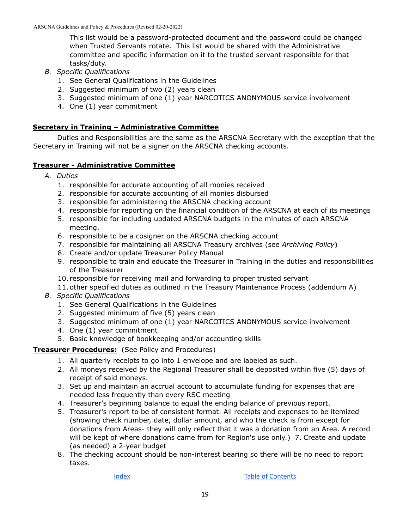This list would be a password-protected document and the password could be changed when Trusted Servants rotate. This list would be shared with the Administrative committee and specific information on it to the trusted servant responsible for that tasks/duty.

- *B. Specific Qualifications*
	- 1. See General Qualifications in the Guidelines
	- 2. Suggested minimum of two (2) years clean
	- 3. Suggested minimum of one (1) year NARCOTICS ANONYMOUS service involvement
	- 4. One (1) year commitment

#### <span id="page-23-0"></span>**Secretary in Training – Administrative Committee**

Duties and Responsibilities are the same as the ARSCNA Secretary with the exception that the Secretary in Training will not be a signer on the ARSCNA checking accounts.

#### <span id="page-23-1"></span>**Treasurer - Administrative Committee**

- *A. Duties*
	- 1. responsible for accurate accounting of all monies received
	- 2. responsible for accurate accounting of all monies disbursed
	- 3. responsible for administering the ARSCNA checking account
	- 4. responsible for reporting on the financial condition of the ARSCNA at each of its meetings
	- 5. responsible for including updated ARSCNA budgets in the minutes of each ARSCNA meeting.
	- 6. responsible to be a cosigner on the ARSCNA checking account
	- 7. responsible for maintaining all ARSCNA Treasury archives (see *Archiving Policy*)
	- 8. Create and/or update Treasurer Policy Manual
	- 9. responsible to train and educate the Treasurer in Training in the duties and responsibilities of the Treasurer
	- 10. responsible for receiving mail and forwarding to proper trusted servant
	- 11. other specified duties as outlined in the Treasury Maintenance Process (addendum A)
- *B. Specific Qualifications*
	- 1. See General Qualifications in the Guidelines
	- 2. Suggested minimum of five (5) years clean
	- 3. Suggested minimum of one (1) year NARCOTICS ANONYMOUS service involvement
	- 4. One (1) year commitment
	- 5. Basic knowledge of bookkeeping and/or accounting skills

#### **Treasurer Procedures:** (See Policy and Procedures)

- 1. All quarterly receipts to go into 1 envelope and are labeled as such.
- 2. All moneys received by the Regional Treasurer shall be deposited within five (5) days of receipt of said moneys.
- 3. Set up and maintain an accrual account to accumulate funding for expenses that are needed less frequently than every RSC meeting
- 4. Treasurer's beginning balance to equal the ending balance of previous report.
- 5. Treasurer's report to be of consistent format. All receipts and expenses to be itemized (showing check number, date, dollar amount, and who the check is from except for donations from Areas- they will only reflect that it was a donation from an Area. A record will be kept of where donations came from for Region's use only.) 7. Create and update (as needed) a 2-year budget
- 8. The checking account should be non-interest bearing so there will be no need to report taxes.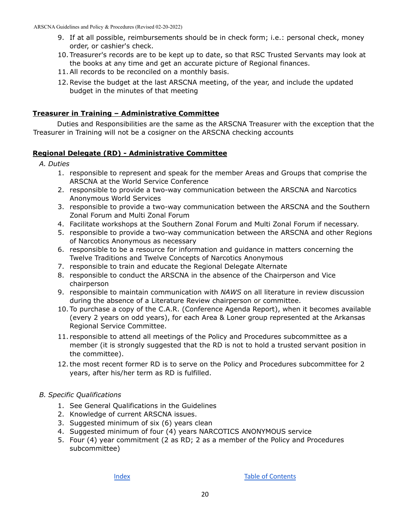- 9. If at all possible, reimbursements should be in check form; i.e.: personal check, money order, or cashier's check.
- 10. Treasurer's records are to be kept up to date, so that RSC Trusted Servants may look at the books at any time and get an accurate picture of Regional finances.
- 11.All records to be reconciled on a monthly basis.
- 12.Revise the budget at the last ARSCNA meeting, of the year, and include the updated budget in the minutes of that meeting

#### <span id="page-24-0"></span>**Treasurer in Training – Administrative Committee**

Duties and Responsibilities are the same as the ARSCNA Treasurer with the exception that the Treasurer in Training will not be a cosigner on the ARSCNA checking accounts

#### <span id="page-24-1"></span>**Regional Delegate (RD) - Administrative Committee**

- *A. Duties*
	- 1. responsible to represent and speak for the member Areas and Groups that comprise the ARSCNA at the World Service Conference
	- 2. responsible to provide a two-way communication between the ARSCNA and Narcotics Anonymous World Services
	- 3. responsible to provide a two-way communication between the ARSCNA and the Southern Zonal Forum and Multi Zonal Forum
	- 4. Facilitate workshops at the Southern Zonal Forum and Multi Zonal Forum if necessary.
	- 5. responsible to provide a two-way communication between the ARSCNA and other Regions of Narcotics Anonymous as necessary
	- 6. responsible to be a resource for information and guidance in matters concerning the Twelve Traditions and Twelve Concepts of Narcotics Anonymous
	- 7. responsible to train and educate the Regional Delegate Alternate
	- 8. responsible to conduct the ARSCNA in the absence of the Chairperson and Vice chairperson
	- 9. responsible to maintain communication with *NAWS* on all literature in review discussion during the absence of a Literature Review chairperson or committee.
	- 10. To purchase a copy of the C.A.R. (Conference Agenda Report), when it becomes available (every 2 years on odd years), for each Area & Loner group represented at the Arkansas Regional Service Committee.
	- 11. responsible to attend all meetings of the Policy and Procedures subcommittee as a member (it is strongly suggested that the RD is not to hold a trusted servant position in the committee).
	- 12.the most recent former RD is to serve on the Policy and Procedures subcommittee for 2 years, after his/her term as RD is fulfilled.

#### *B. Specific Qualifications*

- 1. See General Qualifications in the Guidelines
- 2. Knowledge of current ARSCNA issues.
- 3. Suggested minimum of six (6) years clean
- 4. Suggested minimum of four (4) years NARCOTICS ANONYMOUS service
- 5. Four (4) year commitment (2 as RD; 2 as a member of the Policy and Procedures subcommittee)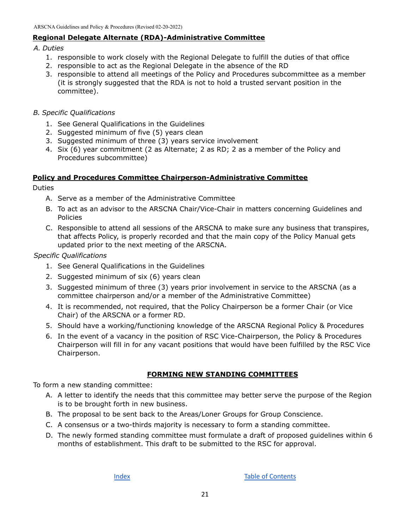#### <span id="page-25-0"></span>**Regional Delegate Alternate (RDA)-Administrative Committee**

#### *A. Duties*

- 1. responsible to work closely with the Regional Delegate to fulfill the duties of that office
- 2. responsible to act as the Regional Delegate in the absence of the RD
- 3. responsible to attend all meetings of the Policy and Procedures subcommittee as a member (it is strongly suggested that the RDA is not to hold a trusted servant position in the committee).
- *B. Specific Qualifications*
	- 1. See General Qualifications in the Guidelines
	- 2. Suggested minimum of five (5) years clean
	- 3. Suggested minimum of three (3) years service involvement
	- 4. Six (6) year commitment (2 as Alternate; 2 as RD; 2 as a member of the Policy and Procedures subcommittee)

#### <span id="page-25-1"></span>**Policy and Procedures Committee Chairperson-Administrative Committee**

Duties

- A. Serve as a member of the Administrative Committee
- B. To act as an advisor to the ARSCNA Chair/Vice-Chair in matters concerning Guidelines and Policies
- C. Responsible to attend all sessions of the ARSCNA to make sure any business that transpires, that affects Policy, is properly recorded and that the main copy of the Policy Manual gets updated prior to the next meeting of the ARSCNA.

*Specific Qualifications*

- 1. See General Qualifications in the Guidelines
- 2. Suggested minimum of six (6) years clean
- 3. Suggested minimum of three (3) years prior involvement in service to the ARSCNA (as a committee chairperson and/or a member of the Administrative Committee)
- 4. It is recommended, not required, that the Policy Chairperson be a former Chair (or Vice Chair) of the ARSCNA or a former RD.
- 5. Should have a working/functioning knowledge of the ARSCNA Regional Policy & Procedures
- 6. In the event of a vacancy in the position of RSC Vice-Chairperson, the Policy & Procedures Chairperson will fill in for any vacant positions that would have been fulfilled by the RSC Vice Chairperson.

### **FORMING NEW STANDING COMMITTEES**

<span id="page-25-2"></span>To form a new standing committee:

- A. A letter to identify the needs that this committee may better serve the purpose of the Region is to be brought forth in new business.
- B. The proposal to be sent back to the Areas/Loner Groups for Group Conscience.
- C. A consensus or a two-thirds majority is necessary to form a standing committee.
- D. The newly formed standing committee must formulate a draft of proposed guidelines within 6 months of establishment. This draft to be submitted to the RSC for approval.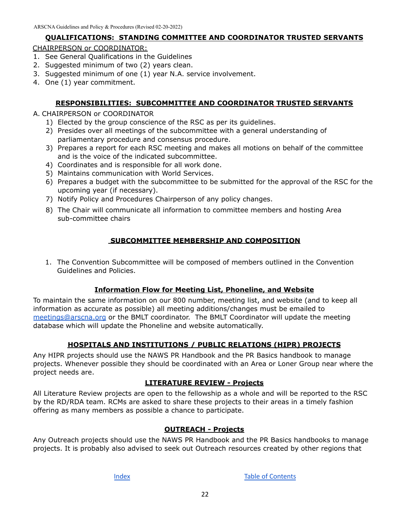#### **QUALIFICATIONS: STANDING COMMITTEE AND COORDINATOR TRUSTED SERVANTS**

#### <span id="page-26-0"></span>CHAIRPERSON or COORDINATOR:

- 1. See General Qualifications in the Guidelines
- 2. Suggested minimum of two (2) years clean.
- 3. Suggested minimum of one (1) year N.A. service involvement.
- 4. One (1) year commitment.

#### **RESPONSIBILITIES: SUBCOMMITTEE AND COORDINATOR TRUSTED SERVANTS**

#### <span id="page-26-1"></span>A. CHAIRPERSON or COORDINATOR

- 1) Elected by the group conscience of the RSC as per its guidelines.
- 2) Presides over all meetings of the subcommittee with a general understanding of parliamentary procedure and consensus procedure.
- 3) Prepares a report for each RSC meeting and makes all motions on behalf of the committee and is the voice of the indicated subcommittee.
- 4) Coordinates and is responsible for all work done.
- 5) Maintains communication with World Services.
- 6) Prepares a budget with the subcommittee to be submitted for the approval of the RSC for the upcoming year (if necessary).
- 7) Notify Policy and Procedures Chairperson of any policy changes.
- 8) The Chair will communicate all information to committee members and hosting Area sub-committee chairs

#### **SUBCOMMITTEE MEMBERSHIP AND COMPOSITION**

<span id="page-26-2"></span>1. The Convention Subcommittee will be composed of members outlined in the Convention Guidelines and Policies.

#### **Information Flow for Meeting List, Phoneline, and Website**

<span id="page-26-3"></span>To maintain the same information on our 800 number, meeting list, and website (and to keep all information as accurate as possible) all meeting additions/changes must be emailed to [meetings@arscna.org](mailto:meetings@arscna.org) or the BMLT coordinator. The BMLT Coordinator will update the meeting database which will update the Phoneline and website automatically.

#### **HOSPITALS AND INSTITUTIONS / PUBLIC RELATIONS (HIPR) PROJECTS**

<span id="page-26-4"></span>Any HIPR projects should use the NAWS PR Handbook and the PR Basics handbook to manage projects. Whenever possible they should be coordinated with an Area or Loner Group near where the project needs are.

#### **LITERATURE REVIEW - Projects**

<span id="page-26-5"></span>All Literature Review projects are open to the fellowship as a whole and will be reported to the RSC by the RD/RDA team. RCMs are asked to share these projects to their areas in a timely fashion offering as many members as possible a chance to participate.

#### **OUTREACH - Projects**

<span id="page-26-6"></span>Any Outreach projects should use the NAWS PR Handbook and the PR Basics handbooks to manage projects. It is probably also advised to seek out Outreach resources created by other regions that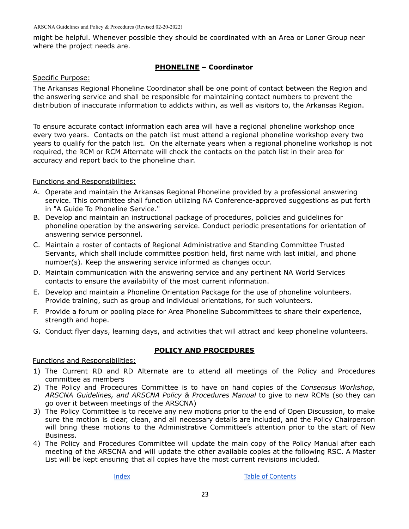might be helpful. Whenever possible they should be coordinated with an Area or Loner Group near where the project needs are.

#### **PHONELINE – Coordinator**

#### <span id="page-27-0"></span>Specific Purpose:

The Arkansas Regional Phoneline Coordinator shall be one point of contact between the Region and the answering service and shall be responsible for maintaining contact numbers to prevent the distribution of inaccurate information to addicts within, as well as visitors to, the Arkansas Region.

To ensure accurate contact information each area will have a regional phoneline workshop once every two years. Contacts on the patch list must attend a regional phoneline workshop every two years to qualify for the patch list. On the alternate years when a regional phoneline workshop is not required, the RCM or RCM Alternate will check the contacts on the patch list in their area for accuracy and report back to the phoneline chair.

#### Functions and Responsibilities:

- A. Operate and maintain the Arkansas Regional Phoneline provided by a professional answering service. This committee shall function utilizing NA Conference-approved suggestions as put forth in "A Guide To Phoneline Service."
- B. Develop and maintain an instructional package of procedures, policies and guidelines for phoneline operation by the answering service. Conduct periodic presentations for orientation of answering service personnel.
- C. Maintain a roster of contacts of Regional Administrative and Standing Committee Trusted Servants, which shall include committee position held, first name with last initial, and phone number(s). Keep the answering service informed as changes occur.
- D. Maintain communication with the answering service and any pertinent NA World Services contacts to ensure the availability of the most current information.
- E. Develop and maintain a Phoneline Orientation Package for the use of phoneline volunteers. Provide training, such as group and individual orientations, for such volunteers.
- F. Provide a forum or pooling place for Area Phoneline Subcommittees to share their experience, strength and hope.
- G. Conduct flyer days, learning days, and activities that will attract and keep phoneline volunteers.

#### **POLICY AND PROCEDURES**

#### <span id="page-27-1"></span>Functions and Responsibilities:

- 1) The Current RD and RD Alternate are to attend all meetings of the Policy and Procedures committee as members
- 2) The Policy and Procedures Committee is to have on hand copies of the *Consensus Workshop, ARSCNA Guidelines, and ARSCNA Policy & Procedures Manual* to give to new RCMs (so they can go over it between meetings of the ARSCNA)
- 3) The Policy Committee is to receive any new motions prior to the end of Open Discussion, to make sure the motion is clear, clean, and all necessary details are included, and the Policy Chairperson will bring these motions to the Administrative Committee's attention prior to the start of New Business.
- 4) The Policy and Procedures Committee will update the main copy of the Policy Manual after each meeting of the ARSCNA and will update the other available copies at the following RSC. A Master List will be kept ensuring that all copies have the most current revisions included.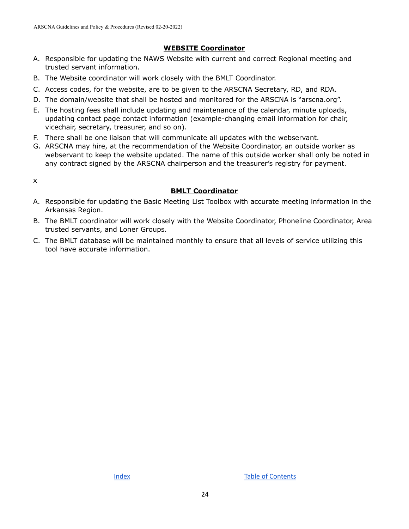#### **WEBSITE Coordinator**

- <span id="page-28-0"></span>A. Responsible for updating the NAWS Website with current and correct Regional meeting and trusted servant information.
- B. The Website coordinator will work closely with the BMLT Coordinator.
- C. Access codes, for the website, are to be given to the ARSCNA Secretary, RD, and RDA.
- D. The domain/website that shall be hosted and monitored for the ARSCNA is "arscna.org".
- E. The hosting fees shall include updating and maintenance of the calendar, minute uploads, updating contact page contact information (example-changing email information for chair, vicechair, secretary, treasurer, and so on).
- F. There shall be one liaison that will communicate all updates with the webservant.
- G. ARSCNA may hire, at the recommendation of the Website Coordinator, an outside worker as webservant to keep the website updated. The name of this outside worker shall only be noted in any contract signed by the ARSCNA chairperson and the treasurer's registry for payment.

<span id="page-28-1"></span>x

#### **BMLT Coordinator**

- A. Responsible for updating the Basic Meeting List Toolbox with accurate meeting information in the Arkansas Region.
- B. The BMLT coordinator will work closely with the Website Coordinator, Phoneline Coordinator, Area trusted servants, and Loner Groups.
- C. The BMLT database will be maintained monthly to ensure that all levels of service utilizing this tool have accurate information.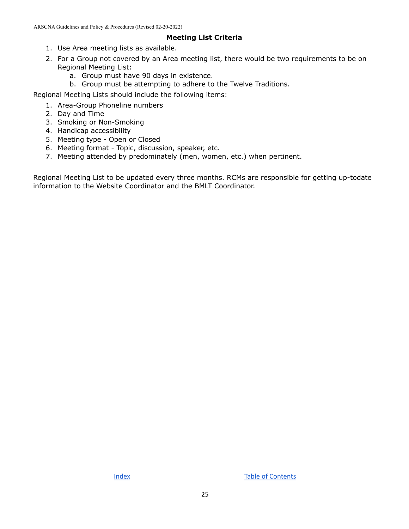#### **Meeting List Criteria**

- <span id="page-29-0"></span>1. Use Area meeting lists as available.
- 2. For a Group not covered by an Area meeting list, there would be two requirements to be on Regional Meeting List:
	- a. Group must have 90 days in existence.
	- b. Group must be attempting to adhere to the Twelve Traditions.

Regional Meeting Lists should include the following items:

- 1. Area-Group Phoneline numbers
- 2. Day and Time
- 3. Smoking or Non-Smoking
- 4. Handicap accessibility
- 5. Meeting type Open or Closed
- 6. Meeting format Topic, discussion, speaker, etc.
- 7. Meeting attended by predominately (men, women, etc.) when pertinent.

Regional Meeting List to be updated every three months. RCMs are responsible for getting up-todate information to the Website Coordinator and the BMLT Coordinator.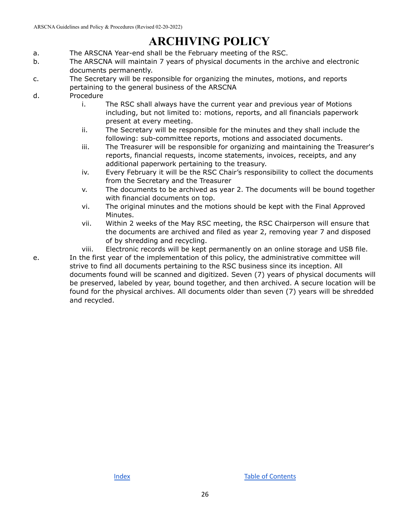# **ARCHIVING POLICY**

- <span id="page-30-0"></span>a. The ARSCNA Year-end shall be the February meeting of the RSC.
- b. The ARSCNA will maintain 7 years of physical documents in the archive and electronic documents permanently.
- c. The Secretary will be responsible for organizing the minutes, motions, and reports pertaining to the general business of the ARSCNA
- d. Procedure
	- i. The RSC shall always have the current year and previous year of Motions including, but not limited to: motions, reports, and all financials paperwork present at every meeting.
	- ii. The Secretary will be responsible for the minutes and they shall include the following: sub-committee reports, motions and associated documents.
	- iii. The Treasurer will be responsible for organizing and maintaining the Treasurer's reports, financial requests, income statements, invoices, receipts, and any additional paperwork pertaining to the treasury.
	- iv. Every February it will be the RSC Chair's responsibility to collect the documents from the Secretary and the Treasurer
	- v. The documents to be archived as year 2. The documents will be bound together with financial documents on top.
	- vi. The original minutes and the motions should be kept with the Final Approved Minutes.
	- vii. Within 2 weeks of the May RSC meeting, the RSC Chairperson will ensure that the documents are archived and filed as year 2, removing year 7 and disposed of by shredding and recycling.
	- viii. Electronic records will be kept permanently on an online storage and USB file.

e. In the first year of the implementation of this policy, the administrative committee will strive to find all documents pertaining to the RSC business since its inception. All documents found will be scanned and digitized. Seven (7) years of physical documents will be preserved, labeled by year, bound together, and then archived. A secure location will be found for the physical archives. All documents older than seven (7) years will be shredded and recycled.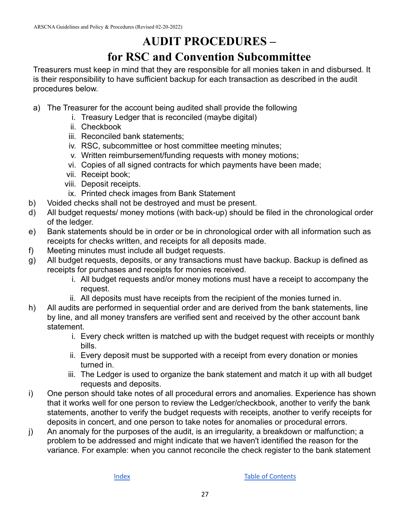## **AUDIT PROCEDURES – for RSC and Convention Subcommittee**

<span id="page-31-1"></span><span id="page-31-0"></span>Treasurers must keep in mind that they are responsible for all monies taken in and disbursed. It is their responsibility to have sufficient backup for each transaction as described in the audit procedures below.

- a) The Treasurer for the account being audited shall provide the following
	- i. Treasury Ledger that is reconciled (maybe digital)
	- ii. Checkbook
	- iii. Reconciled bank statements;
	- iv. RSC, subcommittee or host committee meeting minutes;
	- v. Written reimbursement/funding requests with money motions;
	- vi. Copies of all signed contracts for which payments have been made;
	- vii. Receipt book;
	- viii. Deposit receipts.
	- ix. Printed check images from Bank Statement
- b) Voided checks shall not be destroyed and must be present.
- d) All budget requests/ money motions (with back-up) should be filed in the chronological order of the ledger.
- e) Bank statements should be in order or be in chronological order with all information such as receipts for checks written, and receipts for all deposits made.
- f) Meeting minutes must include all budget requests.
- g) All budget requests, deposits, or any transactions must have backup. Backup is defined as receipts for purchases and receipts for monies received.
	- i. All budget requests and/or money motions must have a receipt to accompany the request.
	- ii. All deposits must have receipts from the recipient of the monies turned in.
- h) All audits are performed in sequential order and are derived from the bank statements, line by line, and all money transfers are verified sent and received by the other account bank statement.
	- i. Every check written is matched up with the budget request with receipts or monthly bills.
	- ii. Every deposit must be supported with a receipt from every donation or monies turned in.
	- iii. The Ledger is used to organize the bank statement and match it up with all budget requests and deposits.
- i) One person should take notes of all procedural errors and anomalies. Experience has shown that it works well for one person to review the Ledger/checkbook, another to verify the bank statements, another to verify the budget requests with receipts, another to verify receipts for deposits in concert, and one person to take notes for anomalies or procedural errors.
- j) An anomaly for the purposes of the audit, is an irregularity, a breakdown or malfunction; a problem to be addressed and might indicate that we haven't identified the reason for the variance. For example: when you cannot reconcile the check register to the bank statement

[Index](#page-3-0) **Index Index Index**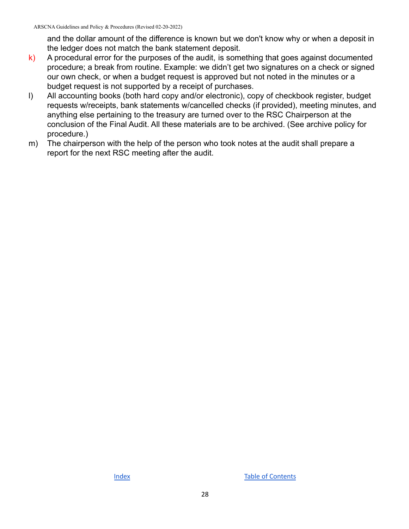and the dollar amount of the difference is known but we don't know why or when a deposit in the ledger does not match the bank statement deposit.

- $k$ ) A procedural error for the purposes of the audit, is something that goes against documented procedure; a break from routine. Example: we didn't get two signatures on a check or signed our own check, or when a budget request is approved but not noted in the minutes or a budget request is not supported by a receipt of purchases.
- l) All accounting books (both hard copy and/or electronic), copy of checkbook register, budget requests w/receipts, bank statements w/cancelled checks (if provided), meeting minutes, and anything else pertaining to the treasury are turned over to the RSC Chairperson at the conclusion of the Final Audit. All these materials are to be archived. (See archive policy for procedure.)
- m) The chairperson with the help of the person who took notes at the audit shall prepare a report for the next RSC meeting after the audit.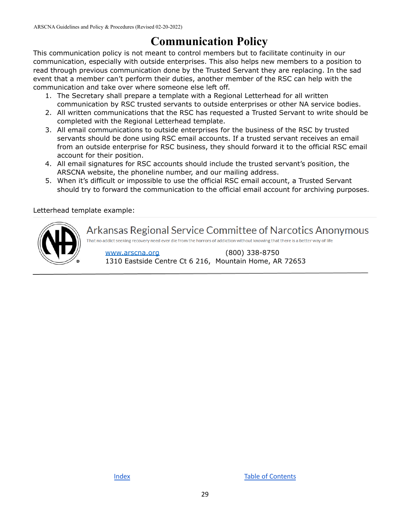## **Communication Policy**

<span id="page-33-0"></span>This communication policy is not meant to control members but to facilitate continuity in our communication, especially with outside enterprises. This also helps new members to a position to read through previous communication done by the Trusted Servant they are replacing. In the sad event that a member can't perform their duties, another member of the RSC can help with the communication and take over where someone else left off.

- 1. The Secretary shall prepare a template with a Regional Letterhead for all written communication by RSC trusted servants to outside enterprises or other NA service bodies.
- 2. All written communications that the RSC has requested a Trusted Servant to write should be completed with the Regional Letterhead template.
- 3. All email communications to outside enterprises for the business of the RSC by trusted servants should be done using RSC email accounts. If a trusted servant receives an email from an outside enterprise for RSC business, they should forward it to the official RSC email account for their position.
- 4. All email signatures for RSC accounts should include the trusted servant's position, the ARSCNA website, the phoneline number, and our mailing address.
- 5. When it's difficult or impossible to use the official RSC email account, a Trusted Servant should try to forward the communication to the official email account for archiving purposes.

#### Letterhead template example:



Arkansas Regional Service Committee of Narcotics Anonymous

That no addict seeking recovery need ever die from the horrors of addiction without knowing that there is a better way of life

[www.arscna.org](http://www.arscna.org) (800) 338-8750 1310 Eastside Centre Ct 6 216, Mountain Home, AR 72653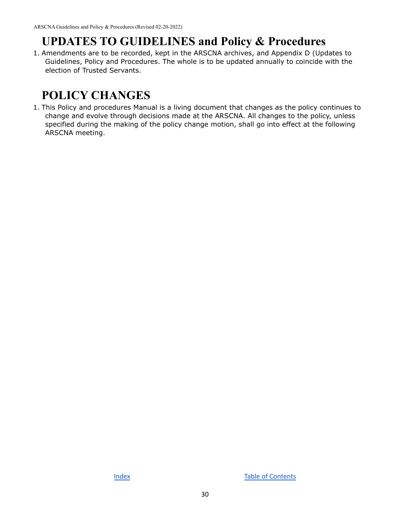## <span id="page-34-0"></span>**UPDATES TO GUIDELINES and Policy & Procedures**

1. Amendments are to be recorded, kept in the ARSCNA archives, and Appendix D (Updates to Guidelines, Policy and Procedures. The whole is to be updated annually to coincide with the election of Trusted Servants.

# <span id="page-34-1"></span>**POLICY CHANGES**

1. This Policy and procedures Manual is a living document that changes as the policy continues to change and evolve through decisions made at the ARSCNA. All changes to the policy, unless specified during the making of the policy change motion, shall go into effect at the following ARSCNA meeting.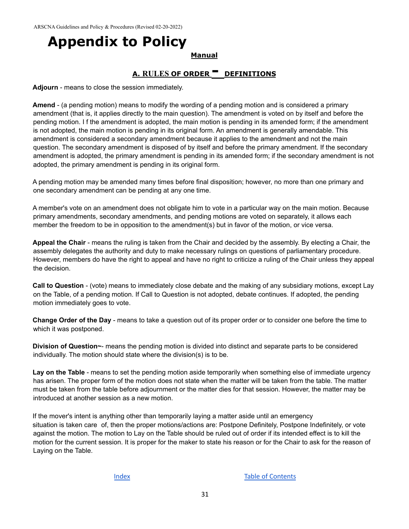# <span id="page-35-1"></span><span id="page-35-0"></span>**Appendix to Policy**

#### **Manual**

### **A. RULES OF ORDER - DEFINITIONS**

<span id="page-35-2"></span>**Adjourn** - means to close the session immediately.

**Amend** - (a pending motion) means to modify the wording of a pending motion and is considered a primary amendment (that is, it applies directly to the main question). The amendment is voted on by itself and before the pending motion. I f the amendment is adopted, the main motion is pending in its amended form; if the amendment is not adopted, the main motion is pending in its original form. An amendment is generally amendable. This amendment is considered a secondary amendment because it applies to the amendment and not the main question. The secondary amendment is disposed of by itself and before the primary amendment. If the secondary amendment is adopted, the primary amendment is pending in its amended form; if the secondary amendment is not adopted, the primary amendment is pending in its original form.

A pending motion may be amended many times before final disposition; however, no more than one primary and one secondary amendment can be pending at any one time.

A member's vote on an amendment does not obligate him to vote in a particular way on the main motion. Because primary amendments, secondary amendments, and pending motions are voted on separately, it allows each member the freedom to be in opposition to the amendment(s) but in favor of the motion, or vice versa.

**Appeal the Chair** - means the ruling is taken from the Chair and decided by the assembly. By electing a Chair, the assembly delegates the authority and duty to make necessary rulings on questions of parliamentary procedure. However, members do have the right to appeal and have no right to criticize a ruling of the Chair unless they appeal the decision.

**Call to Question** - (vote) means to immediately close debate and the making of any subsidiary motions, except Lay on the Table, of a pending motion. If Call to Question is not adopted, debate continues. If adopted, the pending motion immediately goes to vote.

**Change Order of the Day** - means to take a question out of its proper order or to consider one before the time to which it was postponed.

**Division of Question~**- means the pending motion is divided into distinct and separate parts to be considered individually. The motion should state where the division(s) is to be.

**Lay on the Table** - means to set the pending motion aside temporarily when something else of immediate urgency has arisen. The proper form of the motion does not state when the matter will be taken from the table. The matter must be taken from the table before adjournment or the matter dies for that session. However, the matter may be introduced at another session as a new motion.

If the mover's intent is anything other than temporarily laying a matter aside until an emergency situation is taken care of, then the proper motions/actions are: Postpone Definitely, Postpone Indefinitely, or vote against the motion. The motion to Lay on the Table should be ruled out of order if its intended effect is to kill the motion for the current session. It is proper for the maker to state his reason or for the Chair to ask for the reason of Laying on the Table.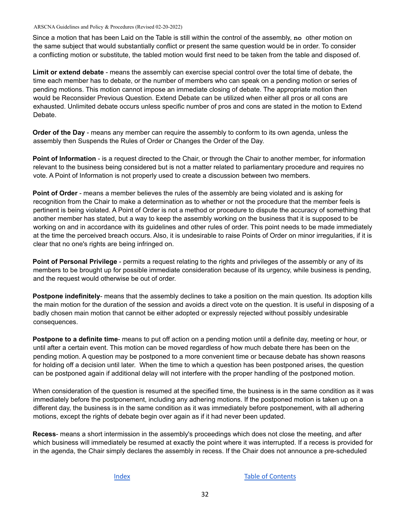Since a motion that has been Laid on the Table is still within the control of the assembly, **no** other motion on the same subject that would substantially conflict or present the same question would be in order. To consider a conflicting motion or substitute, the tabled motion would first need to be taken from the table and disposed of.

**Limit or extend debate** - means the assembly can exercise special control over the total time of debate, the time each member has to debate, or the number of members who can speak on a pending motion or series of pending motions. This motion cannot impose an immediate closing of debate. The appropriate motion then would be Reconsider Previous Question. Extend Debate can be utilized when either all pros or all cons are exhausted. Unlimited debate occurs unless specific number of pros and cons are stated in the motion to Extend Debate.

**Order of the Day** - means any member can require the assembly to conform to its own agenda, unless the assembly then Suspends the Rules of Order or Changes the Order of the Day.

**Point of Information** - is a request directed to the Chair, or through the Chair to another member, for information relevant to the business being considered but is not a matter related to parliamentary procedure and requires no vote. A Point of Information is not properly used to create a discussion between two members.

**Point of Order** - means a member believes the rules of the assembly are being violated and is asking for recognition from the Chair to make a determination as to whether or not the procedure that the member feels is pertinent is being violated. A Point of Order is not a method or procedure to dispute the accuracy of something that another member has stated, but a way to keep the assembly working on the business that it is supposed to be working on and in accordance with its guidelines and other rules of order. This point needs to be made immediately at the time the perceived breach occurs. Also, it is undesirable to raise Points of Order on minor irregularities, if it is clear that no one's rights are being infringed on.

**Point of Personal Privilege** - permits a request relating to the rights and privileges of the assembly or any of its members to be brought up for possible immediate consideration because of its urgency, while business is pending, and the request would otherwise be out of order.

**Postpone indefinitely**- means that the assembly declines to take a position on the main question. Its adoption kills the main motion for the duration of the session and avoids a direct vote on the question. It is useful in disposing of a badly chosen main motion that cannot be either adopted or expressly rejected without possibly undesirable consequences.

**Postpone to a definite time**- means to put off action on a pending motion until a definite day, meeting or hour, or until after a certain event. This motion can be moved regardless of how much debate there has been on the pending motion. A question may be postponed to a more convenient time or because debate has shown reasons for holding off a decision until later. When the time to which a question has been postponed arises, the question can be postponed again if additional delay will not interfere with the proper handling of the postponed motion.

When consideration of the question is resumed at the specified time, the business is in the same condition as it was immediately before the postponement, including any adhering motions. If the postponed motion is taken up on a different day, the business is in the same condition as it was immediately before postponement, with all adhering motions, except the rights of debate begin over again as if it had never been updated.

**Recess**- means a short intermission in the assembly's proceedings which does not close the meeting, and after which business will immediately be resumed at exactly the point where it was interrupted. If a recess is provided for in the agenda, the Chair simply declares the assembly in recess. If the Chair does not announce a pre-scheduled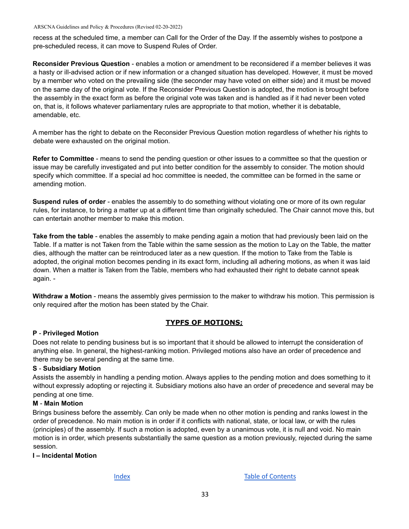recess at the scheduled time, a member can Call for the Order of the Day. If the assembly wishes to postpone a pre-scheduled recess, it can move to Suspend Rules of Order.

**Reconsider Previous Question** - enables a motion or amendment to be reconsidered if a member believes it was a hasty or ill-advised action or if new information or a changed situation has developed. However, it must be moved by a member who voted on the prevailing side (the seconder may have voted on either side) and it must be moved on the same day of the original vote. If the Reconsider Previous Question is adopted, the motion is brought before the assembly in the exact form as before the original vote was taken and is handled as if it had never been voted on, that is, it follows whatever parliamentary rules are appropriate to that motion, whether it is debatable, amendable, etc.

A member has the right to debate on the Reconsider Previous Question motion regardless of whether his rights to debate were exhausted on the original motion.

**Refer to Committee** - means to send the pending question or other issues to a committee so that the question or issue may be carefully investigated and put into better condition for the assembly to consider. The motion should specify which committee. If a special ad hoc committee is needed, the committee can be formed in the same or amending motion.

**Suspend rules of order** - enables the assembly to do something without violating one or more of its own regular rules, for instance, to bring a matter up at a different time than originally scheduled. The Chair cannot move this, but can entertain another member to make this motion.

**Take from the table** - enables the assembly to make pending again a motion that had previously been laid on the Table. If a matter is not Taken from the Table within the same session as the motion to Lay on the Table, the matter dies, although the matter can be reintroduced later as a new question. If the motion to Take from the Table is adopted, the original motion becomes pending in its exact form, including all adhering motions, as when it was laid down. When a matter is Taken from the Table, members who had exhausted their right to debate cannot speak again. -

**Withdraw a Motion** - means the assembly gives permission to the maker to withdraw his motion. This permission is only required after the motion has been stated by the Chair.

#### **TYPFS OF MOTIONS;**

#### <span id="page-37-0"></span>**P** - **Privileged Motion**

Does not relate to pending business but is so important that it should be allowed to interrupt the consideration of anything else. In general, the highest-ranking motion. Privileged motions also have an order of precedence and there may be several pending at the same time.

#### **S** - **Subsidiary Motion**

Assists the assembly in handling a pending motion. Always applies to the pending motion and does something to it without expressly adopting or rejecting it. Subsidiary motions also have an order of precedence and several may be pending at one time.

#### **M** - **Main Motion**

Brings business before the assembly. Can only be made when no other motion is pending and ranks lowest in the order of precedence. No main motion is in order if it conflicts with national, state, or local law, or with the rules (principles) of the assembly. If such a motion is adopted, even by a unanimous vote, it is null and void. No main motion is in order, which presents substantially the same question as a motion previously, rejected during the same session.

#### **I – Incidental Motion**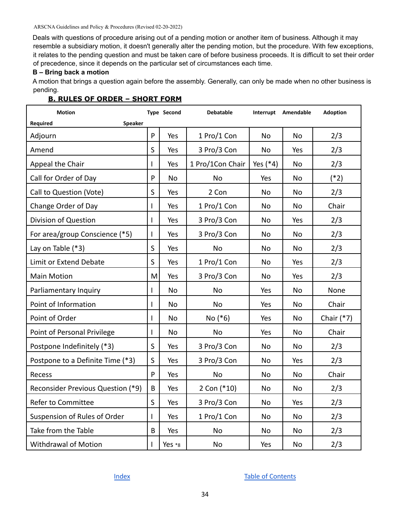Deals with questions of procedure arising out of a pending motion or another item of business. Although it may resemble a subsidiary motion, it doesn't generally alter the pending motion, but the procedure. With few exceptions, it relates to the pending question and must be taken care of before business proceeds. It is difficult to set their order of precedence, since it depends on the particular set of circumstances each time.

#### **B – Bring back a motion**

A motion that brings a question again before the assembly. Generally, can only be made when no other business is pending.

#### <span id="page-38-0"></span>**B. RULES OF ORDER – SHORT FORM**

| <b>Motion</b>                     |              | <b>Type Second</b> | <b>Debatable</b> |           | Interrupt Amendable | <b>Adoption</b> |
|-----------------------------------|--------------|--------------------|------------------|-----------|---------------------|-----------------|
| <b>Required</b><br><b>Speaker</b> |              |                    |                  |           |                     |                 |
| Adjourn                           | P            | Yes                | 1 Pro/1 Con      | No        | <b>No</b>           | 2/3             |
| Amend                             | S            | Yes                | 3 Pro/3 Con      | No        | Yes                 | 2/3             |
| Appeal the Chair                  | $\mathbf{I}$ | Yes                | 1 Pro/1Con Chair | Yes (*4)  | No                  | 2/3             |
| Call for Order of Day             | P            | No                 | <b>No</b>        | Yes       | No                  | $(*2)$          |
| Call to Question (Vote)           | S            | Yes                | 2 Con            | No        | No                  | 2/3             |
| Change Order of Day               | $\mathbf{I}$ | Yes                | 1 Pro/1 Con      | No        | No                  | Chair           |
| Division of Question              | $\mathbf{I}$ | Yes                | 3 Pro/3 Con      | <b>No</b> | Yes                 | 2/3             |
| For area/group Conscience (*5)    | $\mathbf{I}$ | Yes                | 3 Pro/3 Con      | <b>No</b> | <b>No</b>           | 2/3             |
| Lay on Table (*3)                 | S            | Yes                | <b>No</b>        | No        | <b>No</b>           | 2/3             |
| <b>Limit or Extend Debate</b>     | S            | Yes                | 1 Pro/1 Con      | <b>No</b> | Yes                 | 2/3             |
| <b>Main Motion</b>                | M            | Yes                | 3 Pro/3 Con      | <b>No</b> | Yes                 | 2/3             |
| Parliamentary Inquiry             | $\mathbf{I}$ | <b>No</b>          | <b>No</b>        | Yes       | <b>No</b>           | None            |
| Point of Information              | $\mathbf{I}$ | <b>No</b>          | <b>No</b>        | Yes       | <b>No</b>           | Chair           |
| Point of Order                    | $\mathbf{I}$ | <b>No</b>          | $No (*6)$        | Yes       | <b>No</b>           | Chair $(*7)$    |
| Point of Personal Privilege       | $\mathbf{I}$ | <b>No</b>          | <b>No</b>        | Yes       | <b>No</b>           | Chair           |
| Postpone Indefinitely (*3)        | $\sf S$      | Yes                | 3 Pro/3 Con      | <b>No</b> | <b>No</b>           | 2/3             |
| Postpone to a Definite Time (*3)  | S            | Yes                | 3 Pro/3 Con      | No        | Yes                 | 2/3             |
| Recess                            | P            | Yes                | <b>No</b>        | <b>No</b> | <b>No</b>           | Chair           |
| Reconsider Previous Question (*9) | B            | Yes                | 2 Con (*10)      | <b>No</b> | No                  | 2/3             |
| Refer to Committee                | S            | Yes                | 3 Pro/3 Con      | <b>No</b> | Yes                 | 2/3             |
| Suspension of Rules of Order      | $\mathbf{I}$ | Yes                | 1 Pro/1 Con      | No        | <b>No</b>           | 2/3             |
| Take from the Table               | B            | Yes                | <b>No</b>        | No        | <b>No</b>           | 2/3             |
| <b>Withdrawal of Motion</b>       | $\mathbf{I}$ | Yes *8             | <b>No</b>        | Yes       | <b>No</b>           | 2/3             |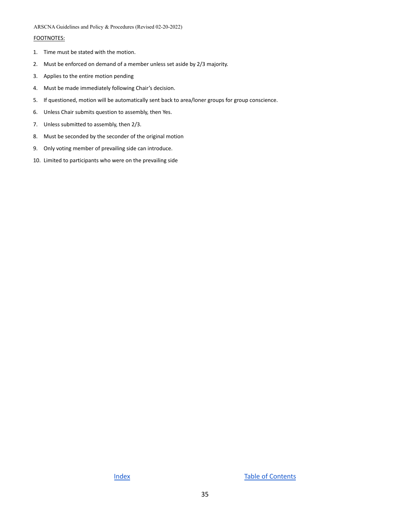#### FOOTNOTES:

- 1. Time must be stated with the motion.
- 2. Must be enforced on demand of a member unless set aside by 2/3 majority.
- 3. Applies to the entire motion pending
- 4. Must be made immediately following Chair's decision.
- 5. If questioned, motion will be automatically sent back to area/loner groups for group conscience.
- 6. Unless Chair submits question to assembly, then Yes.
- 7. Unless submitted to assembly, then 2/3.
- 8. Must be seconded by the seconder of the original motion
- 9. Only voting member of prevailing side can introduce.
- 10. Limited to participants who were on the prevailing side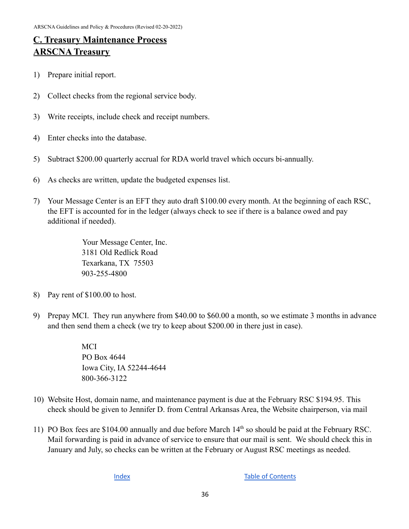### <span id="page-40-1"></span><span id="page-40-0"></span>**C. Treasury Maintenance Process ARSCNA Treasury**

- 1) Prepare initial report.
- 2) Collect checks from the regional service body.
- 3) Write receipts, include check and receipt numbers.
- 4) Enter checks into the database.
- 5) Subtract \$200.00 quarterly accrual for RDA world travel which occurs bi-annually.
- 6) As checks are written, update the budgeted expenses list.
- 7) Your Message Center is an EFT they auto draft \$100.00 every month. At the beginning of each RSC, the EFT is accounted for in the ledger (always check to see if there is a balance owed and pay additional if needed).

Your Message Center, Inc. 3181 Old Redlick Road Texarkana, TX 75503 903-255-4800

- 8) Pay rent of \$100.00 to host.
- 9) Prepay MCI. They run anywhere from \$40.00 to \$60.00 a month, so we estimate 3 months in advance and then send them a check (we try to keep about \$200.00 in there just in case).

MCI PO Box 4644 Iowa City, IA 52244-4644 800-366-3122

- 10) Website Host, domain name, and maintenance payment is due at the February RSC \$194.95. This check should be given to Jennifer D. from Central Arkansas Area, the Website chairperson, via mail
- 11) PO Box fees are \$104.00 annually and due before March 14<sup>th</sup> so should be paid at the February RSC. Mail forwarding is paid in advance of service to ensure that our mail is sent. We should check this in January and July, so checks can be written at the February or August RSC meetings as needed.

[Index](#page-3-0) **Index Index Index**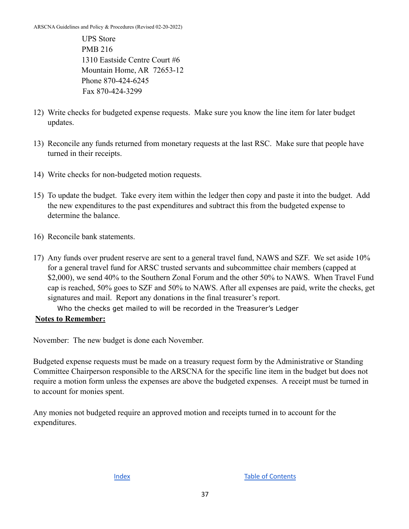UPS Store PMB 216 1310 Eastside Centre Court #6 Mountain Home, AR 72653-12 Phone 870-424-6245 Fax 870-424-3299

- 12) Write checks for budgeted expense requests. Make sure you know the line item for later budget updates.
- 13) Reconcile any funds returned from monetary requests at the last RSC. Make sure that people have turned in their receipts.
- 14) Write checks for non-budgeted motion requests.
- 15) To update the budget. Take every item within the ledger then copy and paste it into the budget. Add the new expenditures to the past expenditures and subtract this from the budgeted expense to determine the balance.
- 16) Reconcile bank statements.
- 17) Any funds over prudent reserve are sent to a general travel fund, NAWS and SZF. We set aside 10% for a general travel fund for ARSC trusted servants and subcommittee chair members (capped at \$2,000), we send 40% to the Southern Zonal Forum and the other 50% to NAWS. When Travel Fund cap is reached, 50% goes to SZF and 50% to NAWS. After all expenses are paid, write the checks, get signatures and mail. Report any donations in the final treasurer's report.

Who the checks get mailed to will be recorded in the Treasurer's Ledger

#### **Notes to Remember:**

November: The new budget is done each November.

Budgeted expense requests must be made on a treasury request form by the Administrative or Standing Committee Chairperson responsible to the ARSCNA for the specific line item in the budget but does not require a motion form unless the expenses are above the budgeted expenses. A receipt must be turned in to account for monies spent.

Any monies not budgeted require an approved motion and receipts turned in to account for the expenditures.